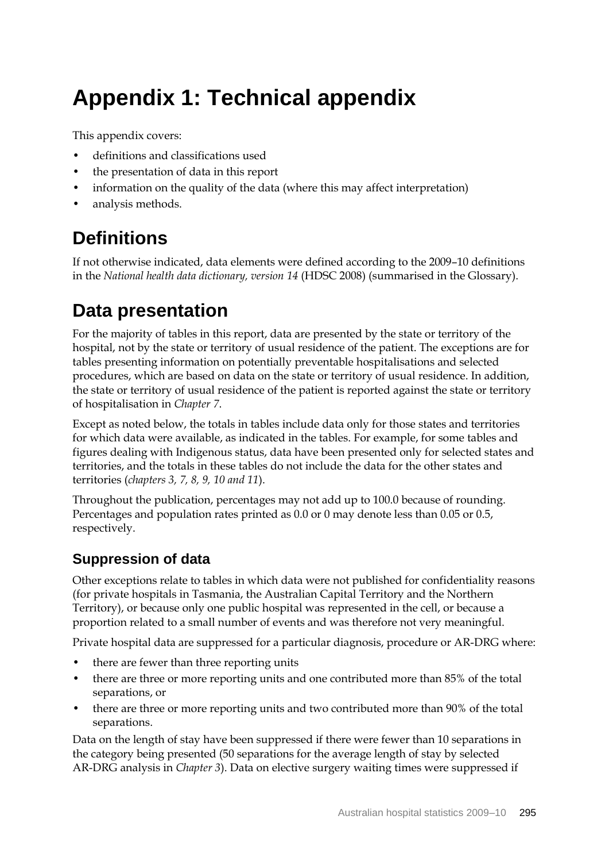# **Appendix 1: Technical appendix**

This appendix covers:

- definitions and classifications used
- the presentation of data in this report
- information on the quality of the data (where this may affect interpretation)
- analysis methods.

# **Definitions**

If not otherwise indicated, data elements were defined according to the 2009–10 definitions in the *National health data dictionary, version 14* (HDSC 2008) (summarised in the Glossary).

# **Data presentation**

For the majority of tables in this report, data are presented by the state or territory of the hospital, not by the state or territory of usual residence of the patient. The exceptions are for tables presenting information on potentially preventable hospitalisations and selected procedures, which are based on data on the state or territory of usual residence. In addition, the state or territory of usual residence of the patient is reported against the state or territory of hospitalisation in *Chapter 7*.

Except as noted below, the totals in tables include data only for those states and territories for which data were available, as indicated in the tables. For example, for some tables and figures dealing with Indigenous status, data have been presented only for selected states and territories, and the totals in these tables do not include the data for the other states and territories (*chapters 3, 7, 8, 9, 10 and 11*).

Throughout the publication, percentages may not add up to 100.0 because of rounding. Percentages and population rates printed as 0.0 or 0 may denote less than 0.05 or 0.5, respectively.

# **Suppression of data**

Other exceptions relate to tables in which data were not published for confidentiality reasons (for private hospitals in Tasmania, the Australian Capital Territory and the Northern Territory), or because only one public hospital was represented in the cell, or because a proportion related to a small number of events and was therefore not very meaningful.

Private hospital data are suppressed for a particular diagnosis, procedure or AR-DRG where:

- there are fewer than three reporting units
- there are three or more reporting units and one contributed more than 85% of the total separations, or
- there are three or more reporting units and two contributed more than 90% of the total separations.

Data on the length of stay have been suppressed if there were fewer than 10 separations in the category being presented (50 separations for the average length of stay by selected AR-DRG analysis in *Chapter 3*). Data on elective surgery waiting times were suppressed if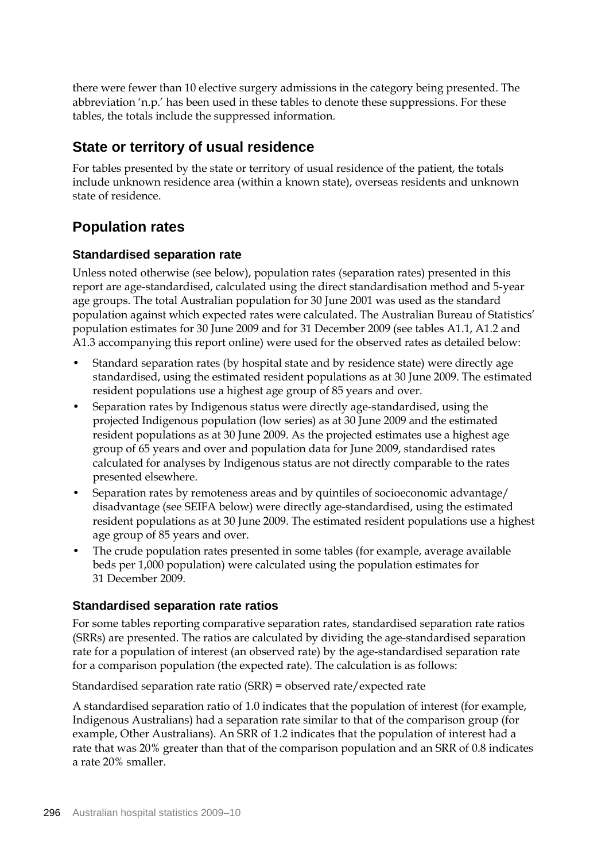there were fewer than 10 elective surgery admissions in the category being presented. The abbreviation 'n.p.' has been used in these tables to denote these suppressions. For these tables, the totals include the suppressed information.

## **State or territory of usual residence**

For tables presented by the state or territory of usual residence of the patient, the totals include unknown residence area (within a known state), overseas residents and unknown state of residence.

## **Population rates**

## **Standardised separation rate**

Unless noted otherwise (see below), population rates (separation rates) presented in this report are age-standardised, calculated using the direct standardisation method and 5-year age groups. The total Australian population for 30 June 2001 was used as the standard population against which expected rates were calculated. The Australian Bureau of Statistics' population estimates for 30 June 2009 and for 31 December 2009 (see tables A1.1, A1.2 and A1.3 accompanying this report online) were used for the observed rates as detailed below:

- Standard separation rates (by hospital state and by residence state) were directly age standardised, using the estimated resident populations as at 30 June 2009. The estimated resident populations use a highest age group of 85 years and over.
- Separation rates by Indigenous status were directly age-standardised, using the projected Indigenous population (low series) as at 30 June 2009 and the estimated resident populations as at 30 June 2009. As the projected estimates use a highest age group of 65 years and over and population data for June 2009, standardised rates calculated for analyses by Indigenous status are not directly comparable to the rates presented elsewhere.
- Separation rates by remoteness areas and by quintiles of socioeconomic advantage/ disadvantage (see SEIFA below) were directly age-standardised, using the estimated resident populations as at 30 June 2009. The estimated resident populations use a highest age group of 85 years and over.
- The crude population rates presented in some tables (for example, average available beds per 1,000 population) were calculated using the population estimates for 31 December 2009.

## **Standardised separation rate ratios**

For some tables reporting comparative separation rates, standardised separation rate ratios (SRRs) are presented. The ratios are calculated by dividing the age-standardised separation rate for a population of interest (an observed rate) by the age-standardised separation rate for a comparison population (the expected rate). The calculation is as follows:

Standardised separation rate ratio (SRR) = observed rate/expected rate

A standardised separation ratio of 1.0 indicates that the population of interest (for example, Indigenous Australians) had a separation rate similar to that of the comparison group (for example, Other Australians). An SRR of 1.2 indicates that the population of interest had a rate that was 20% greater than that of the comparison population and an SRR of 0.8 indicates a rate 20% smaller.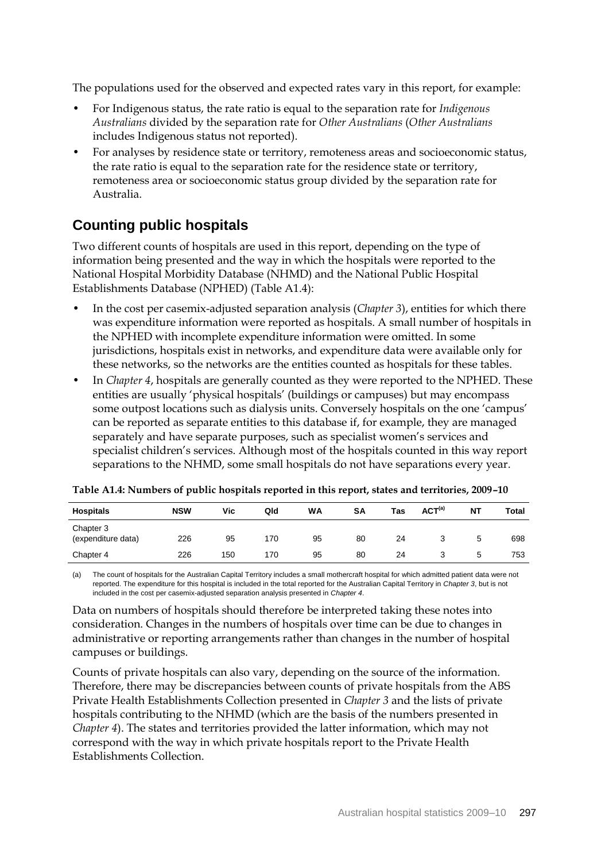The populations used for the observed and expected rates vary in this report, for example:

- For Indigenous status, the rate ratio is equal to the separation rate for *Indigenous Australians* divided by the separation rate for *Other Australians* (*Other Australians* includes Indigenous status not reported).
- For analyses by residence state or territory, remoteness areas and socioeconomic status, the rate ratio is equal to the separation rate for the residence state or territory, remoteness area or socioeconomic status group divided by the separation rate for Australia.

# **Counting public hospitals**

Two different counts of hospitals are used in this report, depending on the type of information being presented and the way in which the hospitals were reported to the National Hospital Morbidity Database (NHMD) and the National Public Hospital Establishments Database (NPHED) (Table A1.4):

- In the cost per casemix-adjusted separation analysis (*Chapter 3*), entities for which there was expenditure information were reported as hospitals. A small number of hospitals in the NPHED with incomplete expenditure information were omitted. In some jurisdictions, hospitals exist in networks, and expenditure data were available only for these networks, so the networks are the entities counted as hospitals for these tables.
- In *Chapter 4*, hospitals are generally counted as they were reported to the NPHED. These entities are usually 'physical hospitals' (buildings or campuses) but may encompass some outpost locations such as dialysis units. Conversely hospitals on the one 'campus' can be reported as separate entities to this database if, for example, they are managed separately and have separate purposes, such as specialist women's services and specialist children's services. Although most of the hospitals counted in this way report separations to the NHMD, some small hospitals do not have separations every year.

| <b>Hospitals</b>                | <b>NSW</b> | Vic | Qld | WA | SΑ | Tas | ACT <sup>(a)</sup> | <b>NT</b> | <b>Total</b> |
|---------------------------------|------------|-----|-----|----|----|-----|--------------------|-----------|--------------|
| Chapter 3<br>(expenditure data) | 226        | 95  | 170 | 95 | 80 | 24  |                    | 5         | 698          |
| Chapter 4                       | 226        | 150 | 170 | 95 | 80 | 24  |                    | G         | 753          |

**Table A1.4: Numbers of public hospitals reported in this report, states and territories, 2009–10**

(a) The count of hospitals for the Australian Capital Territory includes a small mothercraft hospital for which admitted patient data were not reported. The expenditure for this hospital is included in the total reported for the Australian Capital Territory in *Chapter 3*, but is not included in the cost per casemix-adjusted separation analysis presented in *Chapter 4*.

Data on numbers of hospitals should therefore be interpreted taking these notes into consideration. Changes in the numbers of hospitals over time can be due to changes in administrative or reporting arrangements rather than changes in the number of hospital campuses or buildings.

Counts of private hospitals can also vary, depending on the source of the information. Therefore, there may be discrepancies between counts of private hospitals from the ABS Private Health Establishments Collection presented in *Chapter 3* and the lists of private hospitals contributing to the NHMD (which are the basis of the numbers presented in *Chapter 4*). The states and territories provided the latter information, which may not correspond with the way in which private hospitals report to the Private Health Establishments Collection.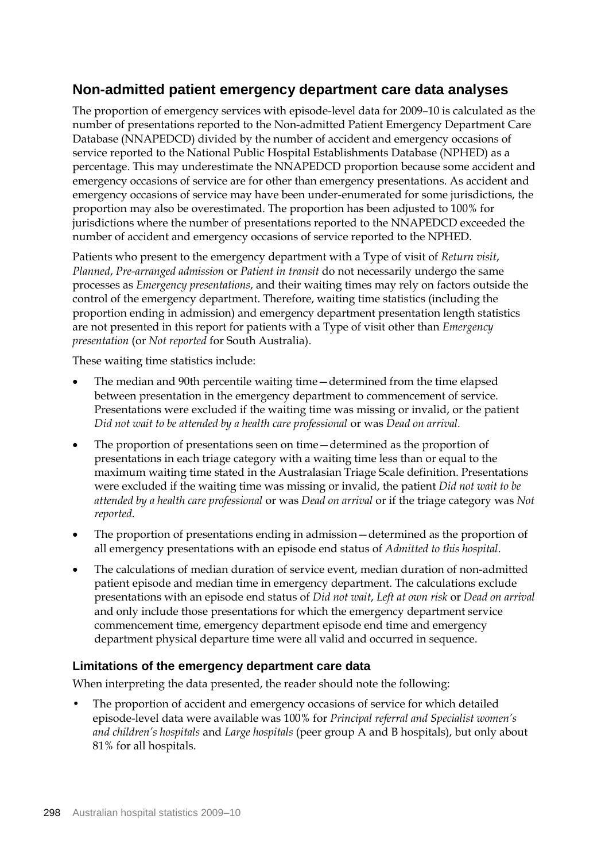## **Non-admitted patient emergency department care data analyses**

The proportion of emergency services with episode-level data for 2009–10 is calculated as the number of presentations reported to the Non-admitted Patient Emergency Department Care Database (NNAPEDCD) divided by the number of accident and emergency occasions of service reported to the National Public Hospital Establishments Database (NPHED) as a percentage. This may underestimate the NNAPEDCD proportion because some accident and emergency occasions of service are for other than emergency presentations. As accident and emergency occasions of service may have been under-enumerated for some jurisdictions, the proportion may also be overestimated. The proportion has been adjusted to 100% for jurisdictions where the number of presentations reported to the NNAPEDCD exceeded the number of accident and emergency occasions of service reported to the NPHED.

Patients who present to the emergency department with a Type of visit of *Return visit*, *Planned*, *Pre-arranged admission* or *Patient in transit* do not necessarily undergo the same processes as *Emergency presentations*, and their waiting times may rely on factors outside the control of the emergency department. Therefore, waiting time statistics (including the proportion ending in admission) and emergency department presentation length statistics are not presented in this report for patients with a Type of visit other than *Emergency presentation* (or *Not reported* for South Australia).

These waiting time statistics include:

- The median and 90th percentile waiting time—determined from the time elapsed between presentation in the emergency department to commencement of service. Presentations were excluded if the waiting time was missing or invalid, or the patient *Did not wait to be attended by a health care professional* or was *Dead on arrival.*
- The proportion of presentations seen on time—determined as the proportion of presentations in each triage category with a waiting time less than or equal to the maximum waiting time stated in the Australasian Triage Scale definition. Presentations were excluded if the waiting time was missing or invalid, the patient *Did not wait to be attended by a health care professional* or was *Dead on arrival* or if the triage category was *Not reported.*
- The proportion of presentations ending in admission—determined as the proportion of all emergency presentations with an episode end status of *Admitted to this hospital*.
- The calculations of median duration of service event, median duration of non-admitted patient episode and median time in emergency department. The calculations exclude presentations with an episode end status of *Did not wait*, *Left at own risk* or *Dead on arrival* and only include those presentations for which the emergency department service commencement time, emergency department episode end time and emergency department physical departure time were all valid and occurred in sequence.

#### **Limitations of the emergency department care data**

When interpreting the data presented, the reader should note the following:

The proportion of accident and emergency occasions of service for which detailed episode-level data were available was 100% for *Principal referral and Specialist women's and children's hospitals* and *Large hospitals* (peer group A and B hospitals), but only about 81% for all hospitals.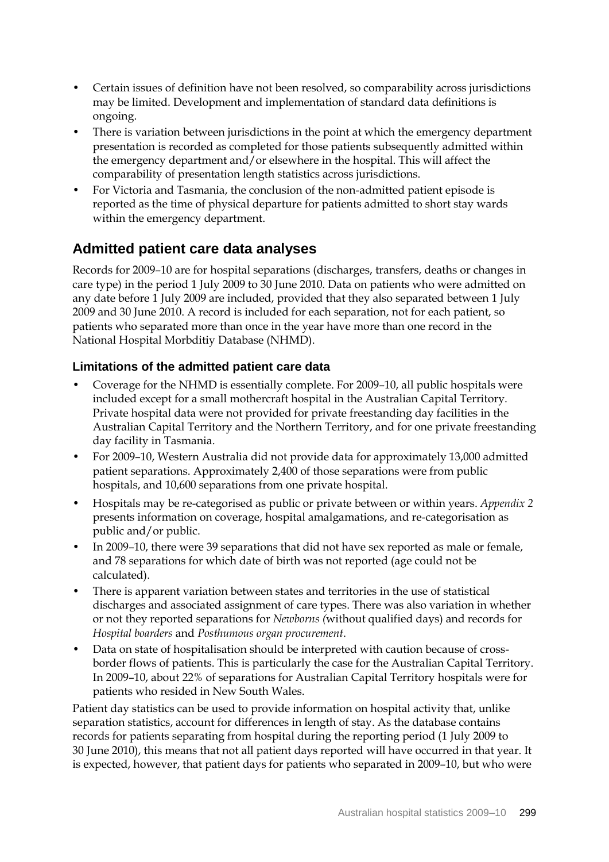- Certain issues of definition have not been resolved, so comparability across jurisdictions may be limited. Development and implementation of standard data definitions is ongoing.
- There is variation between jurisdictions in the point at which the emergency department presentation is recorded as completed for those patients subsequently admitted within the emergency department and/or elsewhere in the hospital. This will affect the comparability of presentation length statistics across jurisdictions.
- For Victoria and Tasmania, the conclusion of the non-admitted patient episode is reported as the time of physical departure for patients admitted to short stay wards within the emergency department.

## **Admitted patient care data analyses**

Records for 2009–10 are for hospital separations (discharges, transfers, deaths or changes in care type) in the period 1 July 2009 to 30 June 2010. Data on patients who were admitted on any date before 1 July 2009 are included, provided that they also separated between 1 July 2009 and 30 June 2010. A record is included for each separation, not for each patient, so patients who separated more than once in the year have more than one record in the National Hospital Morbditiy Database (NHMD).

## **Limitations of the admitted patient care data**

- Coverage for the NHMD is essentially complete. For 2009–10, all public hospitals were included except for a small mothercraft hospital in the Australian Capital Territory. Private hospital data were not provided for private freestanding day facilities in the Australian Capital Territory and the Northern Territory, and for one private freestanding day facility in Tasmania.
- For 2009–10, Western Australia did not provide data for approximately 13,000 admitted patient separations. Approximately 2,400 of those separations were from public hospitals, and 10,600 separations from one private hospital.
- Hospitals may be re-categorised as public or private between or within years. *Appendix 2*  presents information on coverage, hospital amalgamations, and re-categorisation as public and/or public.
- In 2009–10, there were 39 separations that did not have sex reported as male or female, and 78 separations for which date of birth was not reported (age could not be calculated).
- There is apparent variation between states and territories in the use of statistical discharges and associated assignment of care types. There was also variation in whether or not they reported separations for *Newborns (*without qualified days) and records for *Hospital boarders* and *Posthumous organ procurement*.
- Data on state of hospitalisation should be interpreted with caution because of crossborder flows of patients. This is particularly the case for the Australian Capital Territory. In 2009–10, about 22% of separations for Australian Capital Territory hospitals were for patients who resided in New South Wales.

Patient day statistics can be used to provide information on hospital activity that, unlike separation statistics, account for differences in length of stay. As the database contains records for patients separating from hospital during the reporting period (1 July 2009 to 30 June 2010), this means that not all patient days reported will have occurred in that year. It is expected, however, that patient days for patients who separated in 2009–10, but who were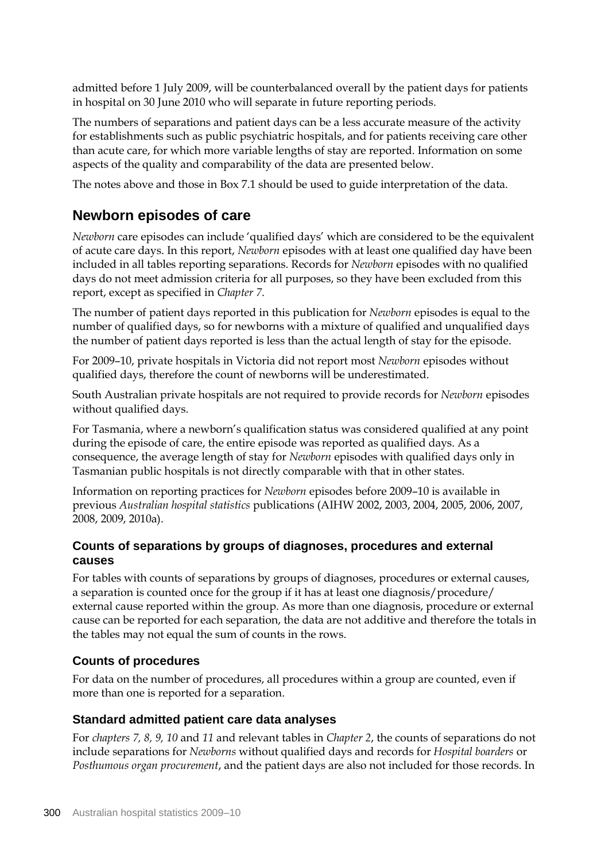admitted before 1 July 2009, will be counterbalanced overall by the patient days for patients in hospital on 30 June 2010 who will separate in future reporting periods.

The numbers of separations and patient days can be a less accurate measure of the activity for establishments such as public psychiatric hospitals, and for patients receiving care other than acute care, for which more variable lengths of stay are reported. Information on some aspects of the quality and comparability of the data are presented below.

The notes above and those in Box 7.1 should be used to guide interpretation of the data.

## **Newborn episodes of care**

*Newborn* care episodes can include 'qualified days' which are considered to be the equivalent of acute care days. In this report, *Newborn* episodes with at least one qualified day have been included in all tables reporting separations. Records for *Newborn* episodes with no qualified days do not meet admission criteria for all purposes, so they have been excluded from this report, except as specified in *Chapter 7*.

The number of patient days reported in this publication for *Newborn* episodes is equal to the number of qualified days, so for newborns with a mixture of qualified and unqualified days the number of patient days reported is less than the actual length of stay for the episode.

For 2009–10, private hospitals in Victoria did not report most *Newborn* episodes without qualified days, therefore the count of newborns will be underestimated.

South Australian private hospitals are not required to provide records for *Newborn* episodes without qualified days.

For Tasmania, where a newborn's qualification status was considered qualified at any point during the episode of care, the entire episode was reported as qualified days. As a consequence, the average length of stay for *Newborn* episodes with qualified days only in Tasmanian public hospitals is not directly comparable with that in other states.

Information on reporting practices for *Newborn* episodes before 2009–10 is available in previous *Australian hospital statistics* publications (AIHW 2002, 2003, 2004, 2005, 2006, 2007, 2008, 2009, 2010a).

## **Counts of separations by groups of diagnoses, procedures and external causes**

For tables with counts of separations by groups of diagnoses, procedures or external causes, a separation is counted once for the group if it has at least one diagnosis/procedure/ external cause reported within the group. As more than one diagnosis, procedure or external cause can be reported for each separation, the data are not additive and therefore the totals in the tables may not equal the sum of counts in the rows.

## **Counts of procedures**

For data on the number of procedures, all procedures within a group are counted, even if more than one is reported for a separation.

#### **Standard admitted patient care data analyses**

For *chapters 7, 8, 9, 10* and *11* and relevant tables in *Chapter 2*, the counts of separations do not include separations for *Newborns* without qualified days and records for *Hospital boarders* or *Posthumous organ procurement*, and the patient days are also not included for those records. In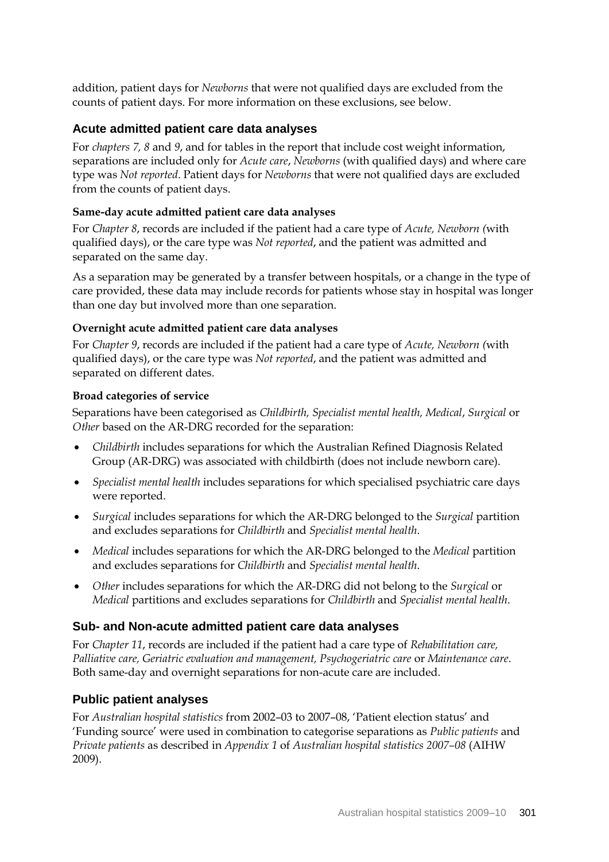addition, patient days for *Newborns* that were not qualified days are excluded from the counts of patient days. For more information on these exclusions, see below.

### **Acute admitted patient care data analyses**

For *chapters 7, 8* and *9*, and for tables in the report that include cost weight information, separations are included only for *Acute care*, *Newborns* (with qualified days) and where care type was *Not reported*. Patient days for *Newborns* that were not qualified days are excluded from the counts of patient days.

#### **Same-day acute admitted patient care data analyses**

For *Chapter 8*, records are included if the patient had a care type of *Acute, Newborn (*with qualified days), or the care type was *Not reported*, and the patient was admitted and separated on the same day.

As a separation may be generated by a transfer between hospitals, or a change in the type of care provided, these data may include records for patients whose stay in hospital was longer than one day but involved more than one separation.

#### **Overnight acute admitted patient care data analyses**

For *Chapter 9*, records are included if the patient had a care type of *Acute, Newborn (*with qualified days), or the care type was *Not reported*, and the patient was admitted and separated on different dates.

#### **Broad categories of service**

Separations have been categorised as *Childbirth, Specialist mental health, Medical*, *Surgical* or *Other* based on the AR-DRG recorded for the separation:

- *Childbirth* includes separations for which the Australian Refined Diagnosis Related Group (AR-DRG) was associated with childbirth (does not include newborn care).
- *Specialist mental health* includes separations for which specialised psychiatric care days were reported.
- *Surgical* includes separations for which the AR-DRG belonged to the *Surgical* partition and excludes separations for *Childbirth* and *Specialist mental health*.
- *Medical* includes separations for which the AR-DRG belonged to the *Medical* partition and excludes separations for *Childbirth* and *Specialist mental health*.
- *Other* includes separations for which the AR-DRG did not belong to the *Surgical* or *Medical* partitions and excludes separations for *Childbirth* and *Specialist mental health*.

#### **Sub- and Non-acute admitted patient care data analyses**

For *Chapter 11*, records are included if the patient had a care type of *Rehabilitation care, Palliative care, Geriatric evaluation and management, Psychogeriatric care* or *Maintenance care*. Both same-day and overnight separations for non-acute care are included.

#### **Public patient analyses**

For *Australian hospital statistics* from 2002–03 to 2007–08, 'Patient election status' and 'Funding source' were used in combination to categorise separations as *Public patients* and *Private patients* as described in *Appendix 1* of *Australian hospital statistics 2007–08* (AIHW 2009).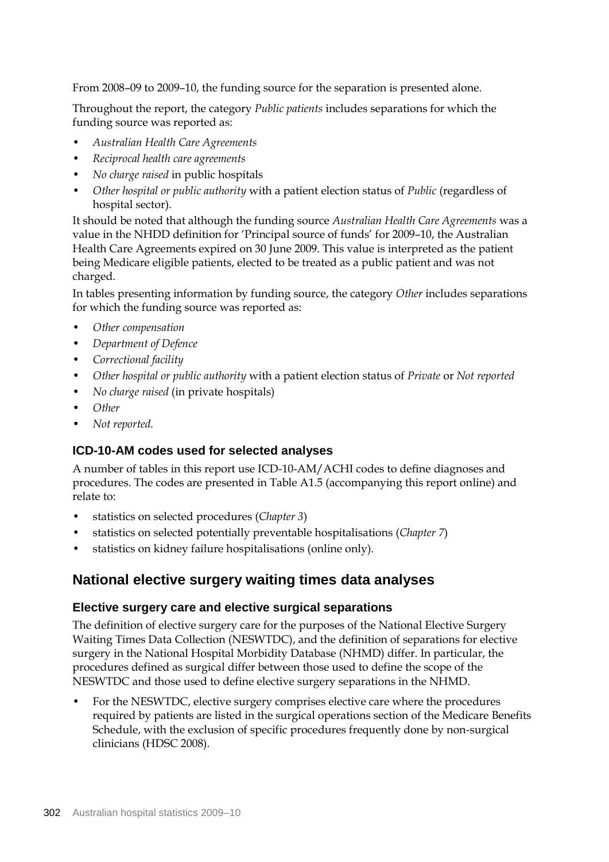From 2008–09 to 2009–10, the funding source for the separation is presented alone.

Throughout the report, the category *Public patients* includes separations for which the funding source was reported as:

- *Australian Health Care Agreements*
- *Reciprocal health care agreements*
- *No charge raised* in public hospitals
- *Other hospital or public authority* with a patient election status of *Public* (regardless of hospital sector).

It should be noted that although the funding source *Australian Health Care Agreements* was a value in the NHDD definition for 'Principal source of funds' for 2009–10, the Australian Health Care Agreements expired on 30 June 2009. This value is interpreted as the patient being Medicare eligible patients, elected to be treated as a public patient and was not charged.

In tables presenting information by funding source, the category *Other* includes separations for which the funding source was reported as:

- *Other compensation*
- *Department of Defence*
- *Correctional facility*
- *Other hospital or public authority* with a patient election status of *Private* or *Not reported*
- *No charge raised* (in private hospitals)
- *Other*
- *Not reported.*

## **ICD-10-AM codes used for selected analyses**

A number of tables in this report use ICD-10-AM/ACHI codes to define diagnoses and procedures. The codes are presented in Table A1.5 (accompanying this report online) and relate to:

- statistics on selected procedures (*Chapter 3*)
- statistics on selected potentially preventable hospitalisations (*Chapter 7*)
- statistics on kidney failure hospitalisations (online only).

## **National elective surgery waiting times data analyses**

## **Elective surgery care and elective surgical separations**

The definition of elective surgery care for the purposes of the National Elective Surgery Waiting Times Data Collection (NESWTDC), and the definition of separations for elective surgery in the National Hospital Morbidity Database (NHMD) differ. In particular, the procedures defined as surgical differ between those used to define the scope of the NESWTDC and those used to define elective surgery separations in the NHMD.

• For the NESWTDC, elective surgery comprises elective care where the procedures required by patients are listed in the surgical operations section of the Medicare Benefits Schedule, with the exclusion of specific procedures frequently done by non-surgical clinicians (HDSC 2008).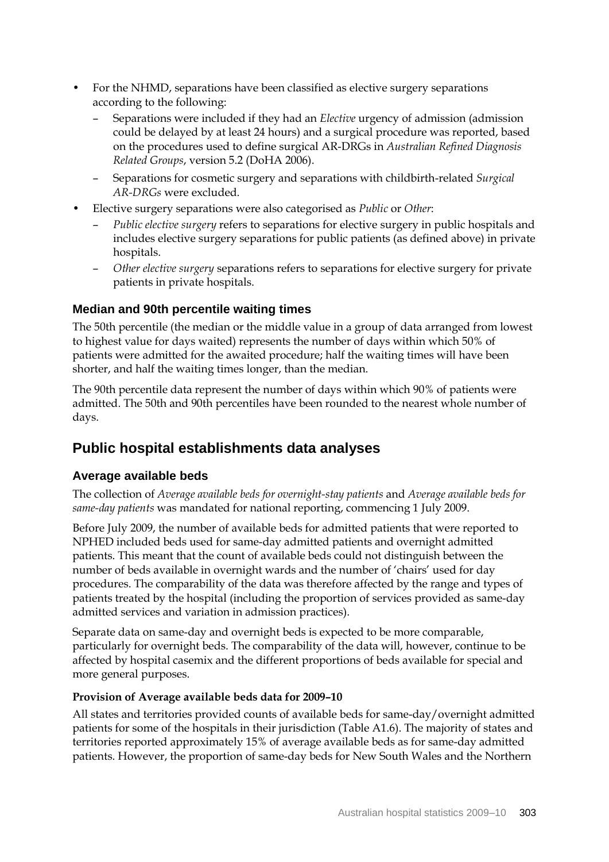- For the NHMD, separations have been classified as elective surgery separations according to the following:
	- Separations were included if they had an *Elective* urgency of admission (admission could be delayed by at least 24 hours) and a surgical procedure was reported, based on the procedures used to define surgical AR-DRGs in *Australian Refined Diagnosis Related Groups*, version 5.2 (DoHA 2006).
	- Separations for cosmetic surgery and separations with childbirth-related *Surgical AR-DRGs* were excluded.
- Elective surgery separations were also categorised as *Public* or *Other*:
	- *Public elective surgery* refers to separations for elective surgery in public hospitals and includes elective surgery separations for public patients (as defined above) in private hospitals.
	- *Other elective surgery* separations refers to separations for elective surgery for private patients in private hospitals.

#### **Median and 90th percentile waiting times**

The 50th percentile (the median or the middle value in a group of data arranged from lowest to highest value for days waited) represents the number of days within which 50% of patients were admitted for the awaited procedure; half the waiting times will have been shorter, and half the waiting times longer, than the median.

The 90th percentile data represent the number of days within which 90% of patients were admitted. The 50th and 90th percentiles have been rounded to the nearest whole number of days.

## **Public hospital establishments data analyses**

## **Average available beds**

The collection of *Average available beds for overnight-stay patients* and *Average available beds for same-day patients* was mandated for national reporting, commencing 1 July 2009.

Before July 2009, the number of available beds for admitted patients that were reported to NPHED included beds used for same-day admitted patients and overnight admitted patients. This meant that the count of available beds could not distinguish between the number of beds available in overnight wards and the number of 'chairs' used for day procedures. The comparability of the data was therefore affected by the range and types of patients treated by the hospital (including the proportion of services provided as same-day admitted services and variation in admission practices).

Separate data on same-day and overnight beds is expected to be more comparable, particularly for overnight beds. The comparability of the data will, however, continue to be affected by hospital casemix and the different proportions of beds available for special and more general purposes.

#### **Provision of Average available beds data for 2009–10**

All states and territories provided counts of available beds for same-day/overnight admitted patients for some of the hospitals in their jurisdiction (Table A1.6). The majority of states and territories reported approximately 15% of average available beds as for same-day admitted patients. However, the proportion of same-day beds for New South Wales and the Northern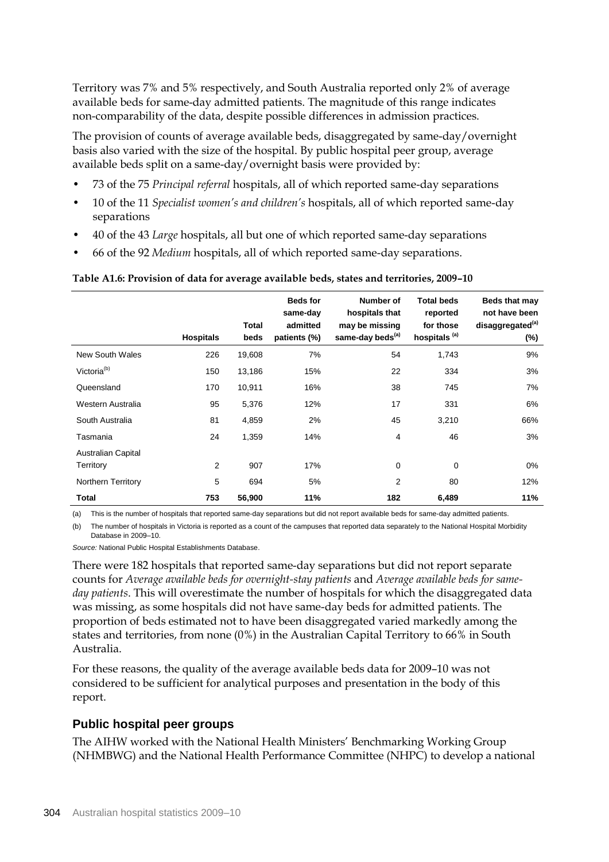Territory was 7% and 5% respectively, and South Australia reported only 2% of average available beds for same-day admitted patients. The magnitude of this range indicates non-comparability of the data, despite possible differences in admission practices.

The provision of counts of average available beds, disaggregated by same-day/overnight basis also varied with the size of the hospital. By public hospital peer group, average available beds split on a same-day/overnight basis were provided by:

- 73 of the 75 *Principal referral* hospitals, all of which reported same-day separations
- 10 of the 11 *Specialist women's and children's* hospitals, all of which reported same-day separations
- 40 of the 43 *Large* hospitals, all but one of which reported same-day separations
- 66 of the 92 *Medium* hospitals, all of which reported same-day separations.

#### **Table A1.6: Provision of data for average available beds, states and territories, 2009–10**

|                                        | <b>Hospitals</b> | Total<br>beds | <b>Beds for</b><br>same-day<br>admitted<br>patients (%) | Number of<br>hospitals that<br>may be missing<br>same-day beds <sup>(a)</sup> | <b>Total beds</b><br>reported<br>for those<br>hospitals <sup>(a)</sup> | Beds that may<br>not have been<br>disaggregated <sup>(a)</sup><br>(%) |
|----------------------------------------|------------------|---------------|---------------------------------------------------------|-------------------------------------------------------------------------------|------------------------------------------------------------------------|-----------------------------------------------------------------------|
| <b>New South Wales</b>                 | 226              | 19,608        | 7%                                                      | 54                                                                            | 1,743                                                                  | 9%                                                                    |
| Victoria <sup>(b)</sup>                | 150              | 13,186        | 15%                                                     | 22                                                                            | 334                                                                    | 3%                                                                    |
| Queensland                             | 170              | 10,911        | 16%                                                     | 38                                                                            | 745                                                                    | 7%                                                                    |
| Western Australia                      | 95               | 5,376         | 12%                                                     | 17                                                                            | 331                                                                    | 6%                                                                    |
| South Australia                        | 81               | 4,859         | 2%                                                      | 45                                                                            | 3,210                                                                  | 66%                                                                   |
| Tasmania                               | 24               | 1,359         | 14%                                                     | 4                                                                             | 46                                                                     | 3%                                                                    |
| <b>Australian Capital</b><br>Territory | 2                | 907           | 17%                                                     | $\mathbf 0$                                                                   | 0                                                                      | 0%                                                                    |
| <b>Northern Territory</b>              | 5                | 694           | 5%                                                      | $\overline{2}$                                                                | 80                                                                     | 12%                                                                   |
| Total                                  | 753              | 56,900        | 11%                                                     | 182                                                                           | 6,489                                                                  | 11%                                                                   |

(a) This is the number of hospitals that reported same-day separations but did not report available beds for same-day admitted patients.

(b) The number of hospitals in Victoria is reported as a count of the campuses that reported data separately to the National Hospital Morbidity Database in 2009–10.

*Source:* National Public Hospital Establishments Database.

There were 182 hospitals that reported same-day separations but did not report separate counts for *Average available beds for overnight-stay patients* and *Average available beds for sameday patients*. This will overestimate the number of hospitals for which the disaggregated data was missing, as some hospitals did not have same-day beds for admitted patients. The proportion of beds estimated not to have been disaggregated varied markedly among the states and territories, from none (0%) in the Australian Capital Territory to 66% in South Australia.

For these reasons, the quality of the average available beds data for 2009–10 was not considered to be sufficient for analytical purposes and presentation in the body of this report.

#### **Public hospital peer groups**

The AIHW worked with the National Health Ministers' Benchmarking Working Group (NHMBWG) and the National Health Performance Committee (NHPC) to develop a national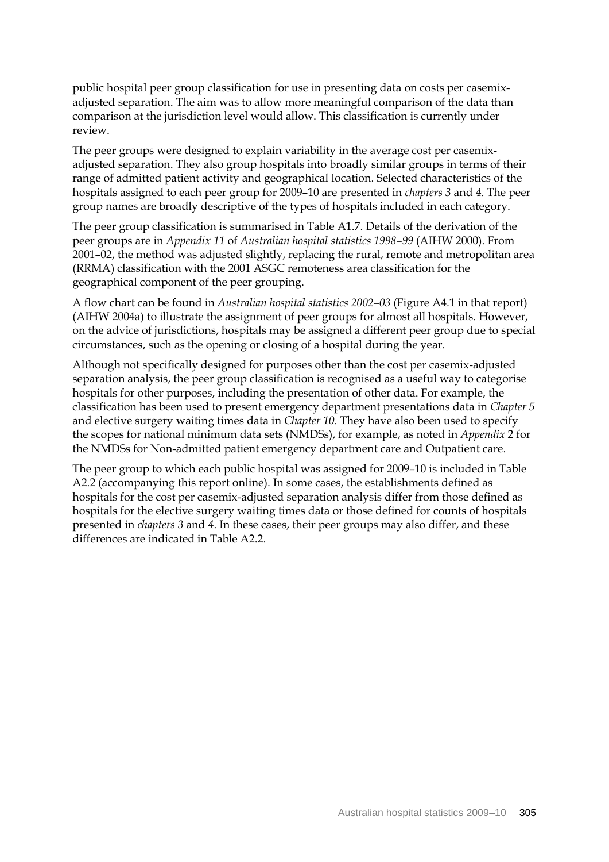public hospital peer group classification for use in presenting data on costs per casemixadjusted separation. The aim was to allow more meaningful comparison of the data than comparison at the jurisdiction level would allow. This classification is currently under review.

The peer groups were designed to explain variability in the average cost per casemixadjusted separation. They also group hospitals into broadly similar groups in terms of their range of admitted patient activity and geographical location. Selected characteristics of the hospitals assigned to each peer group for 2009–10 are presented in *chapters 3* and *4*. The peer group names are broadly descriptive of the types of hospitals included in each category.

The peer group classification is summarised in Table A1.7. Details of the derivation of the peer groups are in *Appendix 11* of *Australian hospital statistics 1998–99* (AIHW 2000). From 2001–02, the method was adjusted slightly, replacing the rural, remote and metropolitan area (RRMA) classification with the 2001 ASGC remoteness area classification for the geographical component of the peer grouping.

A flow chart can be found in *Australian hospital statistics 2002–03* (Figure A4.1 in that report) (AIHW 2004a) to illustrate the assignment of peer groups for almost all hospitals. However, on the advice of jurisdictions, hospitals may be assigned a different peer group due to special circumstances, such as the opening or closing of a hospital during the year.

Although not specifically designed for purposes other than the cost per casemix-adjusted separation analysis, the peer group classification is recognised as a useful way to categorise hospitals for other purposes, including the presentation of other data. For example, the classification has been used to present emergency department presentations data in *Chapter 5* and elective surgery waiting times data in *Chapter 10*. They have also been used to specify the scopes for national minimum data sets (NMDSs), for example, as noted in *Appendix* 2 for the NMDSs for Non-admitted patient emergency department care and Outpatient care.

The peer group to which each public hospital was assigned for 2009–10 is included in Table A2.2 (accompanying this report online). In some cases, the establishments defined as hospitals for the cost per casemix-adjusted separation analysis differ from those defined as hospitals for the elective surgery waiting times data or those defined for counts of hospitals presented in *chapters 3* and *4*. In these cases, their peer groups may also differ, and these differences are indicated in Table A2.2.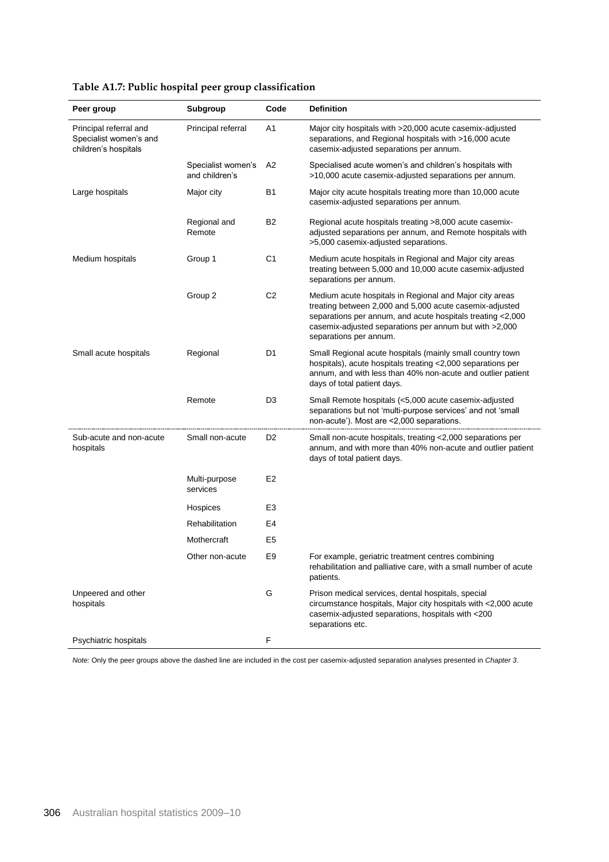| Peer group                                                               | Subgroup                             | Code           | <b>Definition</b>                                                                                                                                                                                                                                                    |
|--------------------------------------------------------------------------|--------------------------------------|----------------|----------------------------------------------------------------------------------------------------------------------------------------------------------------------------------------------------------------------------------------------------------------------|
| Principal referral and<br>Specialist women's and<br>children's hospitals | Principal referral                   | A1             | Major city hospitals with >20,000 acute casemix-adjusted<br>separations, and Regional hospitals with >16,000 acute<br>casemix-adjusted separations per annum.                                                                                                        |
|                                                                          | Specialist women's<br>and children's | A2             | Specialised acute women's and children's hospitals with<br>>10,000 acute casemix-adjusted separations per annum.                                                                                                                                                     |
| Large hospitals                                                          | Major city                           | B1             | Major city acute hospitals treating more than 10,000 acute<br>casemix-adjusted separations per annum.                                                                                                                                                                |
|                                                                          | Regional and<br>Remote               | <b>B2</b>      | Regional acute hospitals treating >8,000 acute casemix-<br>adjusted separations per annum, and Remote hospitals with<br>>5,000 casemix-adjusted separations.                                                                                                         |
| Medium hospitals                                                         | Group 1                              | C <sub>1</sub> | Medium acute hospitals in Regional and Major city areas<br>treating between 5,000 and 10,000 acute casemix-adjusted<br>separations per annum.                                                                                                                        |
|                                                                          | Group 2                              | C <sub>2</sub> | Medium acute hospitals in Regional and Major city areas<br>treating between 2,000 and 5,000 acute casemix-adjusted<br>separations per annum, and acute hospitals treating <2,000<br>casemix-adjusted separations per annum but with >2,000<br>separations per annum. |
| Small acute hospitals                                                    | Regional                             | D1             | Small Regional acute hospitals (mainly small country town<br>hospitals), acute hospitals treating <2,000 separations per<br>annum, and with less than 40% non-acute and outlier patient<br>days of total patient days.                                               |
|                                                                          | Remote                               | D3             | Small Remote hospitals (<5,000 acute casemix-adjusted<br>separations but not 'multi-purpose services' and not 'small<br>non-acute'). Most are <2,000 separations.                                                                                                    |
| Sub-acute and non-acute<br>hospitals                                     | Small non-acute                      | D2             | Small non-acute hospitals, treating <2,000 separations per<br>annum, and with more than 40% non-acute and outlier patient<br>days of total patient days.                                                                                                             |
|                                                                          | Multi-purpose<br>services            | E <sub>2</sub> |                                                                                                                                                                                                                                                                      |
|                                                                          | Hospices                             | E <sub>3</sub> |                                                                                                                                                                                                                                                                      |
|                                                                          | Rehabilitation                       | E4             |                                                                                                                                                                                                                                                                      |
|                                                                          | Mothercraft                          | E5             |                                                                                                                                                                                                                                                                      |
|                                                                          | Other non-acute                      | E9             | For example, geriatric treatment centres combining<br>rehabilitation and palliative care, with a small number of acute<br>patients.                                                                                                                                  |
| Unpeered and other<br>hospitals                                          |                                      | G              | Prison medical services, dental hospitals, special<br>circumstance hospitals, Major city hospitals with <2,000 acute<br>casemix-adjusted separations, hospitals with <200<br>separations etc.                                                                        |
| Psychiatric hospitals                                                    |                                      | F              |                                                                                                                                                                                                                                                                      |

## **Table A1.7: Public hospital peer group classification**

*Note:* Only the peer groups above the dashed line are included in the cost per casemix-adjusted separation analyses presented in *Chapter 3*.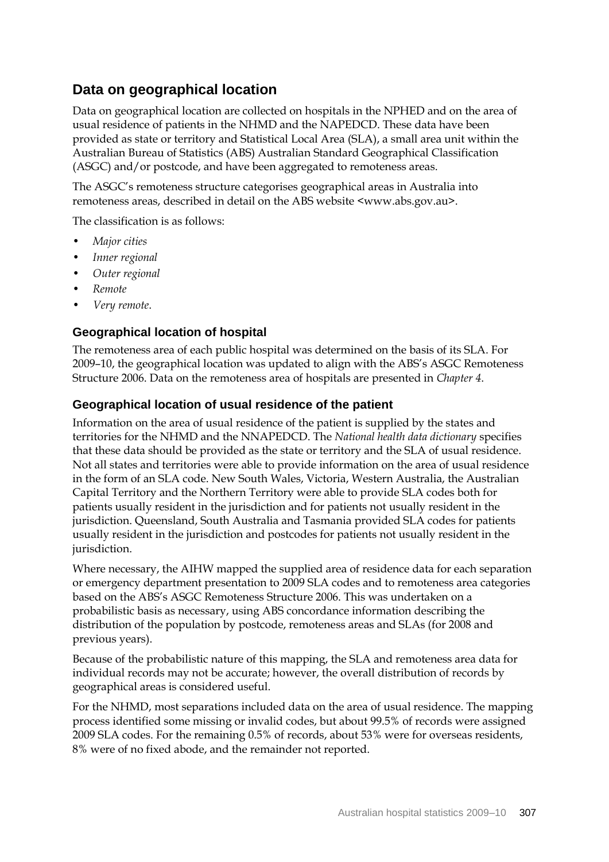# **Data on geographical location**

Data on geographical location are collected on hospitals in the NPHED and on the area of usual residence of patients in the NHMD and the NAPEDCD. These data have been provided as state or territory and Statistical Local Area (SLA), a small area unit within the Australian Bureau of Statistics (ABS) Australian Standard Geographical Classification (ASGC) and/or postcode, and have been aggregated to remoteness areas.

The ASGC's remoteness structure categorises geographical areas in Australia into remoteness areas, described in detail on the ABS website <www.abs.gov.au>.

The classification is as follows:

- *Major cities*
- *Inner regional*
- *Outer regional*
- *Remote*
- *Very remote*.

## **Geographical location of hospital**

The remoteness area of each public hospital was determined on the basis of its SLA. For 2009–10, the geographical location was updated to align with the ABS's ASGC Remoteness Structure 2006. Data on the remoteness area of hospitals are presented in *Chapter 4*.

## **Geographical location of usual residence of the patient**

Information on the area of usual residence of the patient is supplied by the states and territories for the NHMD and the NNAPEDCD. The *National health data dictionary* specifies that these data should be provided as the state or territory and the SLA of usual residence. Not all states and territories were able to provide information on the area of usual residence in the form of an SLA code. New South Wales, Victoria, Western Australia, the Australian Capital Territory and the Northern Territory were able to provide SLA codes both for patients usually resident in the jurisdiction and for patients not usually resident in the jurisdiction. Queensland, South Australia and Tasmania provided SLA codes for patients usually resident in the jurisdiction and postcodes for patients not usually resident in the jurisdiction.

Where necessary, the AIHW mapped the supplied area of residence data for each separation or emergency department presentation to 2009 SLA codes and to remoteness area categories based on the ABS's ASGC Remoteness Structure 2006. This was undertaken on a probabilistic basis as necessary, using ABS concordance information describing the distribution of the population by postcode, remoteness areas and SLAs (for 2008 and previous years).

Because of the probabilistic nature of this mapping, the SLA and remoteness area data for individual records may not be accurate; however, the overall distribution of records by geographical areas is considered useful.

For the NHMD, most separations included data on the area of usual residence. The mapping process identified some missing or invalid codes, but about 99.5% of records were assigned 2009 SLA codes. For the remaining 0.5% of records, about 53% were for overseas residents, 8% were of no fixed abode, and the remainder not reported.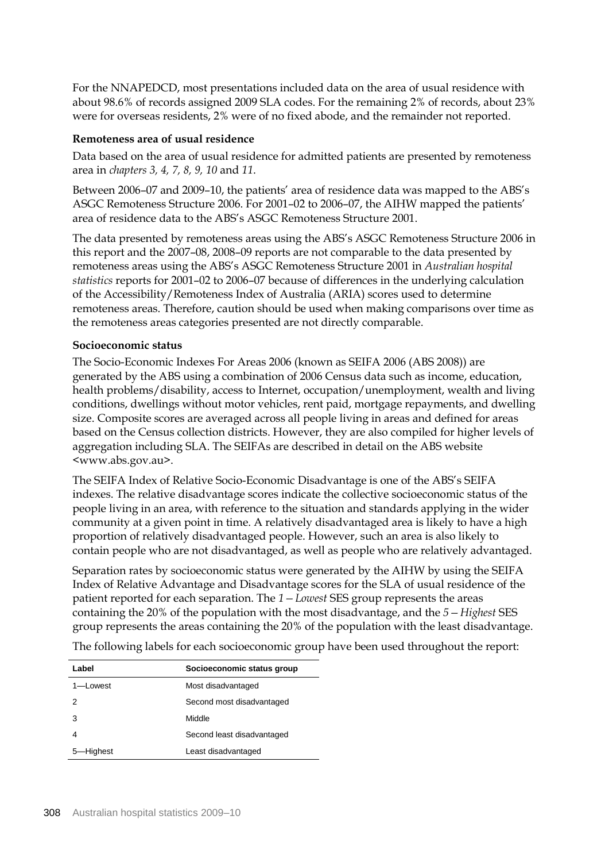For the NNAPEDCD, most presentations included data on the area of usual residence with about 98.6% of records assigned 2009 SLA codes. For the remaining 2% of records, about 23% were for overseas residents, 2% were of no fixed abode, and the remainder not reported.

#### **Remoteness area of usual residence**

Data based on the area of usual residence for admitted patients are presented by remoteness area in *chapters 3, 4, 7, 8, 9, 10* and *11*.

Between 2006–07 and 2009–10, the patients' area of residence data was mapped to the ABS's ASGC Remoteness Structure 2006. For 2001–02 to 2006–07, the AIHW mapped the patients' area of residence data to the ABS's ASGC Remoteness Structure 2001.

The data presented by remoteness areas using the ABS's ASGC Remoteness Structure 2006 in this report and the 2007–08, 2008–09 reports are not comparable to the data presented by remoteness areas using the ABS's ASGC Remoteness Structure 2001 in *Australian hospital statistics* reports for 2001–02 to 2006–07 because of differences in the underlying calculation of the Accessibility/Remoteness Index of Australia (ARIA) scores used to determine remoteness areas. Therefore, caution should be used when making comparisons over time as the remoteness areas categories presented are not directly comparable.

#### **Socioeconomic status**

The Socio-Economic Indexes For Areas 2006 (known as SEIFA 2006 (ABS 2008)) are generated by the ABS using a combination of 2006 Census data such as income, education, health problems/disability, access to Internet, occupation/unemployment, wealth and living conditions, dwellings without motor vehicles, rent paid, mortgage repayments, and dwelling size. Composite scores are averaged across all people living in areas and defined for areas based on the Census collection districts. However, they are also compiled for higher levels of aggregation including SLA. The SEIFAs are described in detail on the ABS website <www.abs.gov.au>.

The SEIFA Index of Relative Socio-Economic Disadvantage is one of the ABS's SEIFA indexes. The relative disadvantage scores indicate the collective socioeconomic status of the people living in an area, with reference to the situation and standards applying in the wider community at a given point in time. A relatively disadvantaged area is likely to have a high proportion of relatively disadvantaged people. However, such an area is also likely to contain people who are not disadvantaged, as well as people who are relatively advantaged.

Separation rates by socioeconomic status were generated by the AIHW by using the SEIFA Index of Relative Advantage and Disadvantage scores for the SLA of usual residence of the patient reported for each separation. The *1—Lowest* SES group represents the areas containing the 20% of the population with the most disadvantage, and the *5—Highest* SES group represents the areas containing the 20% of the population with the least disadvantage.

| Label     | Socioeconomic status group |
|-----------|----------------------------|
| 1-Lowest  | Most disadvantaged         |
| 2         | Second most disadvantaged  |
| 3         | Middle                     |
|           | Second least disadvantaged |
| 5-Highest | Least disadvantaged        |

The following labels for each socioeconomic group have been used throughout the report: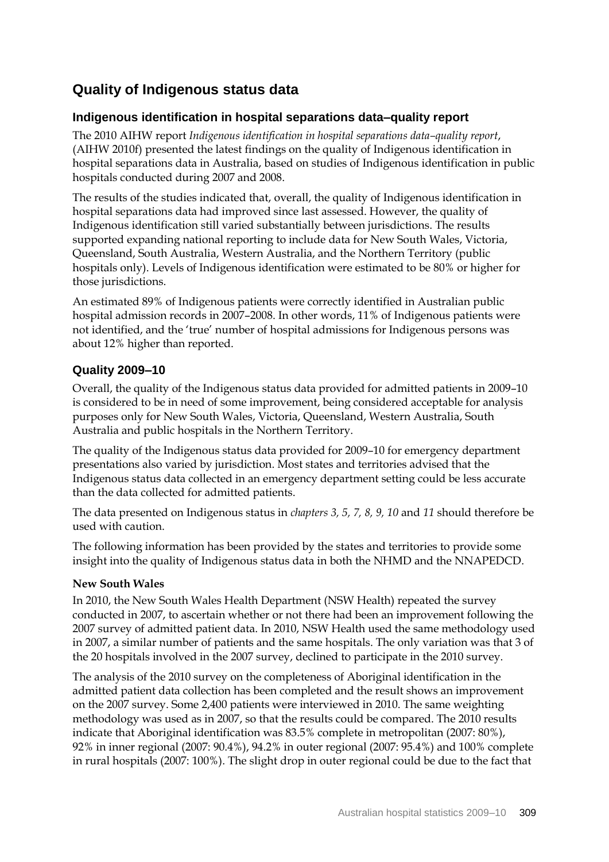# **Quality of Indigenous status data**

## **Indigenous identification in hospital separations data–quality report**

The 2010 AIHW report *Indigenous identification in hospital separations data–quality report*, (AIHW 2010f) presented the latest findings on the quality of Indigenous identification in hospital separations data in Australia, based on studies of Indigenous identification in public hospitals conducted during 2007 and 2008.

The results of the studies indicated that, overall, the quality of Indigenous identification in hospital separations data had improved since last assessed. However, the quality of Indigenous identification still varied substantially between jurisdictions. The results supported expanding national reporting to include data for New South Wales, Victoria, Queensland, South Australia, Western Australia, and the Northern Territory (public hospitals only). Levels of Indigenous identification were estimated to be 80% or higher for those jurisdictions.

An estimated 89% of Indigenous patients were correctly identified in Australian public hospital admission records in 2007–2008. In other words, 11% of Indigenous patients were not identified, and the 'true' number of hospital admissions for Indigenous persons was about 12% higher than reported.

## **Quality 2009–10**

Overall, the quality of the Indigenous status data provided for admitted patients in 2009–10 is considered to be in need of some improvement, being considered acceptable for analysis purposes only for New South Wales, Victoria, Queensland, Western Australia, South Australia and public hospitals in the Northern Territory.

The quality of the Indigenous status data provided for 2009–10 for emergency department presentations also varied by jurisdiction. Most states and territories advised that the Indigenous status data collected in an emergency department setting could be less accurate than the data collected for admitted patients.

The data presented on Indigenous status in *chapters 3, 5, 7, 8, 9, 10* and *11* should therefore be used with caution.

The following information has been provided by the states and territories to provide some insight into the quality of Indigenous status data in both the NHMD and the NNAPEDCD.

#### **New South Wales**

In 2010, the New South Wales Health Department (NSW Health) repeated the survey conducted in 2007, to ascertain whether or not there had been an improvement following the 2007 survey of admitted patient data. In 2010, NSW Health used the same methodology used in 2007, a similar number of patients and the same hospitals. The only variation was that 3 of the 20 hospitals involved in the 2007 survey, declined to participate in the 2010 survey.

The analysis of the 2010 survey on the completeness of Aboriginal identification in the admitted patient data collection has been completed and the result shows an improvement on the 2007 survey. Some 2,400 patients were interviewed in 2010. The same weighting methodology was used as in 2007, so that the results could be compared. The 2010 results indicate that Aboriginal identification was 83.5% complete in metropolitan (2007: 80%), 92% in inner regional (2007: 90.4%), 94.2% in outer regional (2007: 95.4%) and 100% complete in rural hospitals (2007: 100%). The slight drop in outer regional could be due to the fact that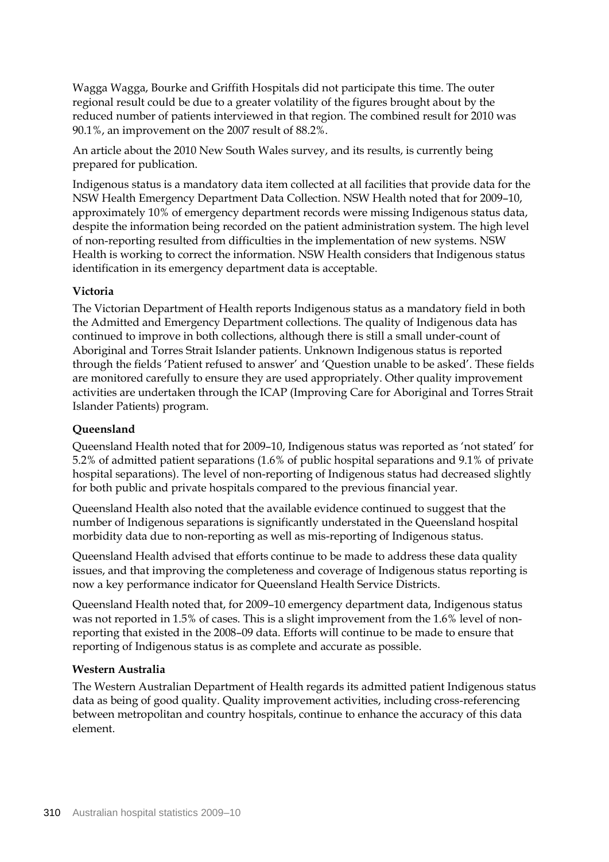Wagga Wagga, Bourke and Griffith Hospitals did not participate this time. The outer regional result could be due to a greater volatility of the figures brought about by the reduced number of patients interviewed in that region. The combined result for 2010 was 90.1%, an improvement on the 2007 result of 88.2%.

An article about the 2010 New South Wales survey, and its results, is currently being prepared for publication.

Indigenous status is a mandatory data item collected at all facilities that provide data for the NSW Health Emergency Department Data Collection. NSW Health noted that for 2009–10, approximately 10% of emergency department records were missing Indigenous status data, despite the information being recorded on the patient administration system. The high level of non-reporting resulted from difficulties in the implementation of new systems. NSW Health is working to correct the information. NSW Health considers that Indigenous status identification in its emergency department data is acceptable.

#### **Victoria**

The Victorian Department of Health reports Indigenous status as a mandatory field in both the Admitted and Emergency Department collections. The quality of Indigenous data has continued to improve in both collections, although there is still a small under-count of Aboriginal and Torres Strait Islander patients. Unknown Indigenous status is reported through the fields 'Patient refused to answer' and 'Question unable to be asked'. These fields are monitored carefully to ensure they are used appropriately. Other quality improvement activities are undertaken through the ICAP (Improving Care for Aboriginal and Torres Strait Islander Patients) program.

#### **Queensland**

Queensland Health noted that for 2009–10, Indigenous status was reported as 'not stated' for 5.2% of admitted patient separations (1.6% of public hospital separations and 9.1% of private hospital separations). The level of non-reporting of Indigenous status had decreased slightly for both public and private hospitals compared to the previous financial year.

Queensland Health also noted that the available evidence continued to suggest that the number of Indigenous separations is significantly understated in the Queensland hospital morbidity data due to non-reporting as well as mis-reporting of Indigenous status.

Queensland Health advised that efforts continue to be made to address these data quality issues, and that improving the completeness and coverage of Indigenous status reporting is now a key performance indicator for Queensland Health Service Districts.

Queensland Health noted that, for 2009–10 emergency department data, Indigenous status was not reported in 1.5% of cases. This is a slight improvement from the 1.6% level of nonreporting that existed in the 2008–09 data. Efforts will continue to be made to ensure that reporting of Indigenous status is as complete and accurate as possible.

#### **Western Australia**

The Western Australian Department of Health regards its admitted patient Indigenous status data as being of good quality. Quality improvement activities, including cross-referencing between metropolitan and country hospitals, continue to enhance the accuracy of this data element.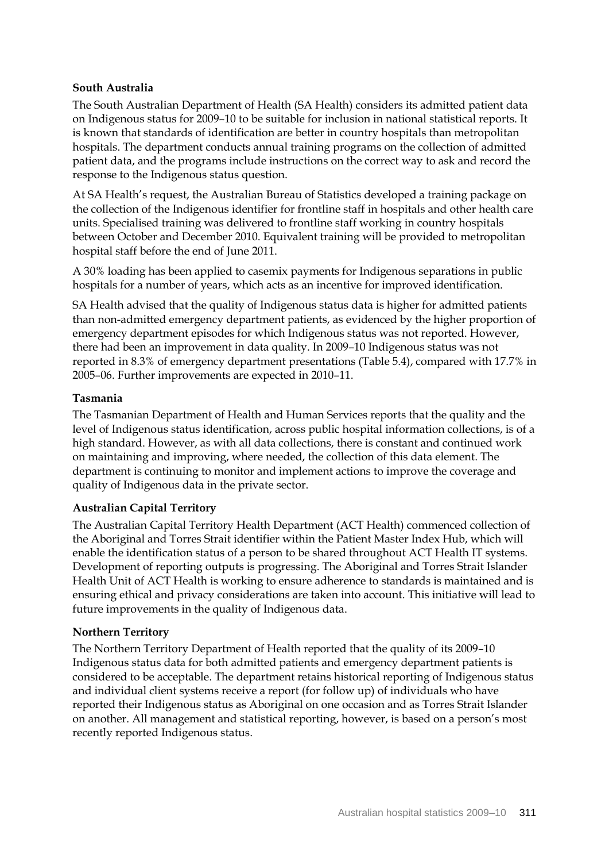### **South Australia**

The South Australian Department of Health (SA Health) considers its admitted patient data on Indigenous status for 2009–10 to be suitable for inclusion in national statistical reports. It is known that standards of identification are better in country hospitals than metropolitan hospitals. The department conducts annual training programs on the collection of admitted patient data, and the programs include instructions on the correct way to ask and record the response to the Indigenous status question.

At SA Health's request, the Australian Bureau of Statistics developed a training package on the collection of the Indigenous identifier for frontline staff in hospitals and other health care units. Specialised training was delivered to frontline staff working in country hospitals between October and December 2010. Equivalent training will be provided to metropolitan hospital staff before the end of June 2011.

A 30% loading has been applied to casemix payments for Indigenous separations in public hospitals for a number of years, which acts as an incentive for improved identification.

SA Health advised that the quality of Indigenous status data is higher for admitted patients than non-admitted emergency department patients, as evidenced by the higher proportion of emergency department episodes for which Indigenous status was not reported. However, there had been an improvement in data quality. In 2009–10 Indigenous status was not reported in 8.3% of emergency department presentations (Table 5.4), compared with 17.7% in 2005–06. Further improvements are expected in 2010–11.

#### **Tasmania**

The Tasmanian Department of Health and Human Services reports that the quality and the level of Indigenous status identification, across public hospital information collections, is of a high standard. However, as with all data collections, there is constant and continued work on maintaining and improving, where needed, the collection of this data element. The department is continuing to monitor and implement actions to improve the coverage and quality of Indigenous data in the private sector.

#### **Australian Capital Territory**

The Australian Capital Territory Health Department (ACT Health) commenced collection of the Aboriginal and Torres Strait identifier within the Patient Master Index Hub, which will enable the identification status of a person to be shared throughout ACT Health IT systems. Development of reporting outputs is progressing. The Aboriginal and Torres Strait Islander Health Unit of ACT Health is working to ensure adherence to standards is maintained and is ensuring ethical and privacy considerations are taken into account. This initiative will lead to future improvements in the quality of Indigenous data.

#### **Northern Territory**

The Northern Territory Department of Health reported that the quality of its 2009–10 Indigenous status data for both admitted patients and emergency department patients is considered to be acceptable. The department retains historical reporting of Indigenous status and individual client systems receive a report (for follow up) of individuals who have reported their Indigenous status as Aboriginal on one occasion and as Torres Strait Islander on another. All management and statistical reporting, however, is based on a person's most recently reported Indigenous status.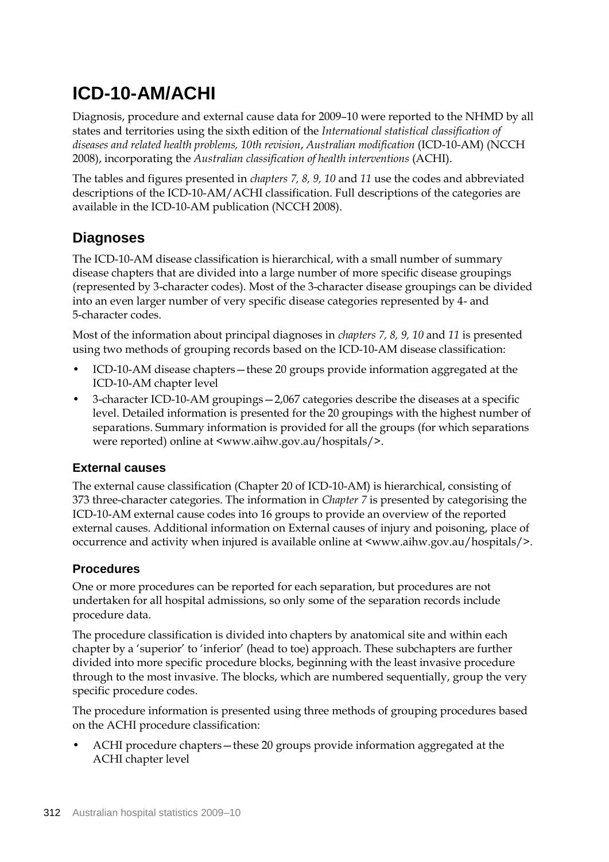# **ICD-10-AM/ACHI**

Diagnosis, procedure and external cause data for 2009–10 were reported to the NHMD by all states and territories using the sixth edition of the *International statistical classification of diseases and related health problems, 10th revision*, *Australian modification* (ICD-10-AM) (NCCH 2008), incorporating the *Australian classification of health interventions* (ACHI).

The tables and figures presented in *chapters 7, 8, 9, 10* and *11* use the codes and abbreviated descriptions of the ICD-10-AM/ACHI classification. Full descriptions of the categories are available in the ICD-10-AM publication (NCCH 2008).

# **Diagnoses**

The ICD-10-AM disease classification is hierarchical, with a small number of summary disease chapters that are divided into a large number of more specific disease groupings (represented by 3-character codes). Most of the 3-character disease groupings can be divided into an even larger number of very specific disease categories represented by 4- and 5-character codes.

Most of the information about principal diagnoses in *chapters 7, 8, 9, 10* and *11* is presented using two methods of grouping records based on the ICD-10-AM disease classification:

- ICD-10-AM disease chapters—these 20 groups provide information aggregated at the ICD-10-AM chapter level
- 3-character ICD-10-AM groupings—2,067 categories describe the diseases at a specific level. Detailed information is presented for the 20 groupings with the highest number of separations. Summary information is provided for all the groups (for which separations were reported) online at <www.aihw.gov.au/hospitals/>.

## **External causes**

The external cause classification (Chapter 20 of ICD-10-AM) is hierarchical, consisting of 373 three-character categories. The information in *Chapter 7* is presented by categorising the ICD-10-AM external cause codes into 16 groups to provide an overview of the reported external causes. Additional information on External causes of injury and poisoning, place of occurrence and activity when injured is available online at <www.aihw.gov.au/hospitals/>.

## **Procedures**

One or more procedures can be reported for each separation, but procedures are not undertaken for all hospital admissions, so only some of the separation records include procedure data.

The procedure classification is divided into chapters by anatomical site and within each chapter by a 'superior' to 'inferior' (head to toe) approach. These subchapters are further divided into more specific procedure blocks, beginning with the least invasive procedure through to the most invasive. The blocks, which are numbered sequentially, group the very specific procedure codes.

The procedure information is presented using three methods of grouping procedures based on the ACHI procedure classification:

• ACHI procedure chapters—these 20 groups provide information aggregated at the ACHI chapter level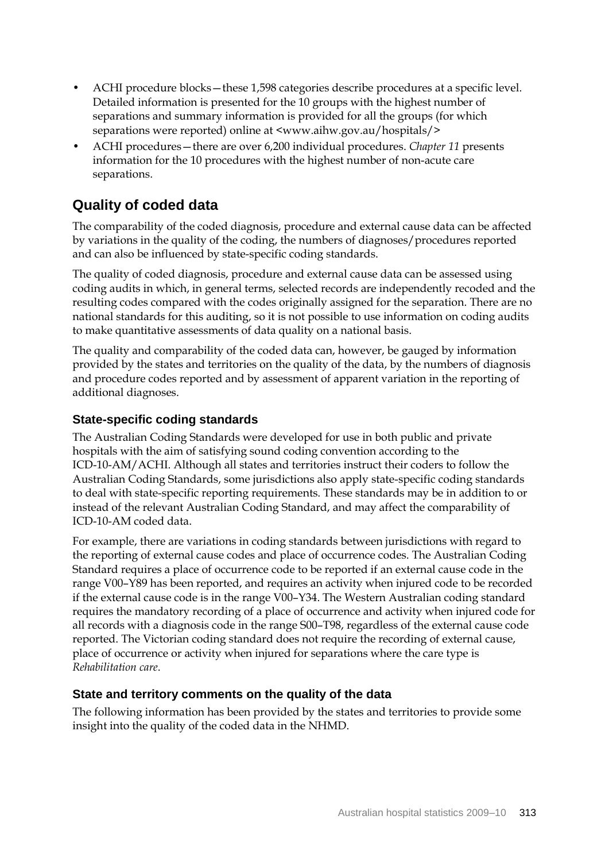- ACHI procedure blocks—these 1,598 categories describe procedures at a specific level. Detailed information is presented for the 10 groups with the highest number of separations and summary information is provided for all the groups (for which separations were reported) online at <www.aihw.gov.au/hospitals/>
- ACHI procedures—there are over 6,200 individual procedures. *Chapter 11* presents information for the 10 procedures with the highest number of non-acute care separations.

# **Quality of coded data**

The comparability of the coded diagnosis, procedure and external cause data can be affected by variations in the quality of the coding, the numbers of diagnoses/procedures reported and can also be influenced by state-specific coding standards.

The quality of coded diagnosis, procedure and external cause data can be assessed using coding audits in which, in general terms, selected records are independently recoded and the resulting codes compared with the codes originally assigned for the separation. There are no national standards for this auditing, so it is not possible to use information on coding audits to make quantitative assessments of data quality on a national basis.

The quality and comparability of the coded data can, however, be gauged by information provided by the states and territories on the quality of the data, by the numbers of diagnosis and procedure codes reported and by assessment of apparent variation in the reporting of additional diagnoses.

## **State-specific coding standards**

The Australian Coding Standards were developed for use in both public and private hospitals with the aim of satisfying sound coding convention according to the ICD-10-AM/ACHI. Although all states and territories instruct their coders to follow the Australian Coding Standards, some jurisdictions also apply state-specific coding standards to deal with state-specific reporting requirements. These standards may be in addition to or instead of the relevant Australian Coding Standard, and may affect the comparability of ICD-10-AM coded data.

For example, there are variations in coding standards between jurisdictions with regard to the reporting of external cause codes and place of occurrence codes. The Australian Coding Standard requires a place of occurrence code to be reported if an external cause code in the range V00–Y89 has been reported, and requires an activity when injured code to be recorded if the external cause code is in the range V00–Y34. The Western Australian coding standard requires the mandatory recording of a place of occurrence and activity when injured code for all records with a diagnosis code in the range S00–T98, regardless of the external cause code reported. The Victorian coding standard does not require the recording of external cause, place of occurrence or activity when injured for separations where the care type is *Rehabilitation care*.

## **State and territory comments on the quality of the data**

The following information has been provided by the states and territories to provide some insight into the quality of the coded data in the NHMD.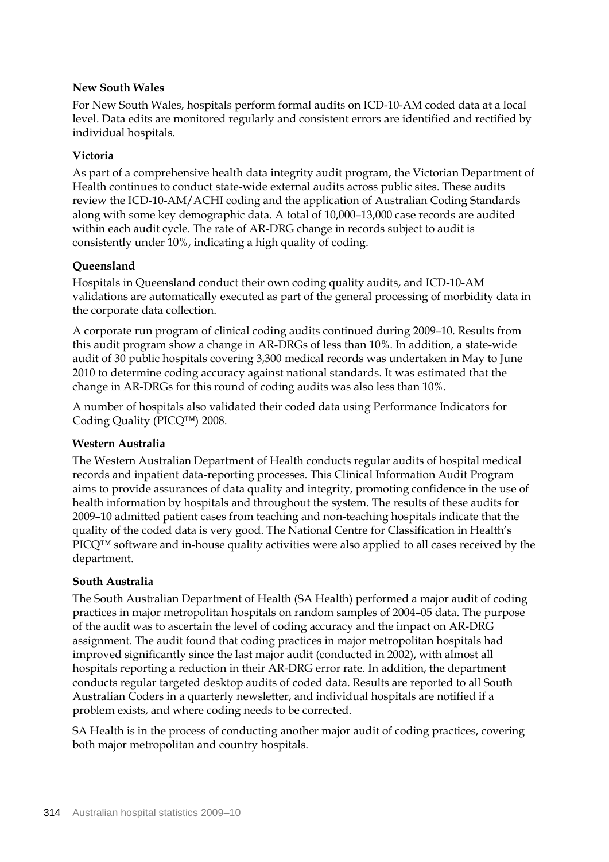### **New South Wales**

For New South Wales, hospitals perform formal audits on ICD-10-AM coded data at a local level. Data edits are monitored regularly and consistent errors are identified and rectified by individual hospitals.

## **Victoria**

As part of a comprehensive health data integrity audit program, the Victorian Department of Health continues to conduct state-wide external audits across public sites. These audits review the ICD-10-AM/ACHI coding and the application of Australian Coding Standards along with some key demographic data. A total of 10,000–13,000 case records are audited within each audit cycle. The rate of AR-DRG change in records subject to audit is consistently under 10%, indicating a high quality of coding.

## **Queensland**

Hospitals in Queensland conduct their own coding quality audits, and ICD-10-AM validations are automatically executed as part of the general processing of morbidity data in the corporate data collection.

A corporate run program of clinical coding audits continued during 2009–10. Results from this audit program show a change in AR-DRGs of less than 10%. In addition, a state-wide audit of 30 public hospitals covering 3,300 medical records was undertaken in May to June 2010 to determine coding accuracy against national standards. It was estimated that the change in AR-DRGs for this round of coding audits was also less than 10%.

A number of hospitals also validated their coded data using Performance Indicators for Coding Quality (PICQ™) 2008.

#### **Western Australia**

The Western Australian Department of Health conducts regular audits of hospital medical records and inpatient data-reporting processes. This Clinical Information Audit Program aims to provide assurances of data quality and integrity, promoting confidence in the use of health information by hospitals and throughout the system. The results of these audits for 2009–10 admitted patient cases from teaching and non-teaching hospitals indicate that the quality of the coded data is very good. The National Centre for Classification in Health's PICQ™ software and in-house quality activities were also applied to all cases received by the department.

#### **South Australia**

The South Australian Department of Health (SA Health) performed a major audit of coding practices in major metropolitan hospitals on random samples of 2004–05 data. The purpose of the audit was to ascertain the level of coding accuracy and the impact on AR-DRG assignment. The audit found that coding practices in major metropolitan hospitals had improved significantly since the last major audit (conducted in 2002), with almost all hospitals reporting a reduction in their AR-DRG error rate. In addition, the department conducts regular targeted desktop audits of coded data. Results are reported to all South Australian Coders in a quarterly newsletter, and individual hospitals are notified if a problem exists, and where coding needs to be corrected.

SA Health is in the process of conducting another major audit of coding practices, covering both major metropolitan and country hospitals.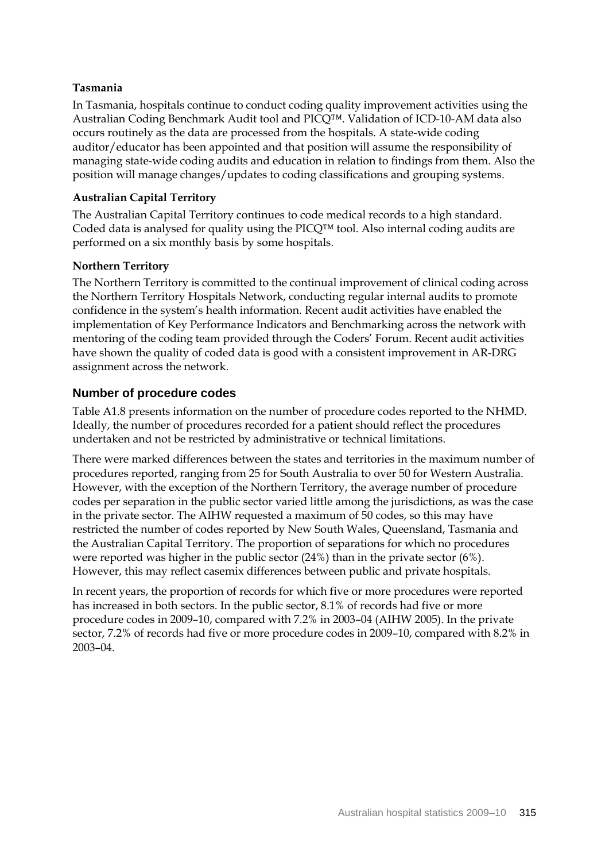## **Tasmania**

In Tasmania, hospitals continue to conduct coding quality improvement activities using the Australian Coding Benchmark Audit tool and PICQ™. Validation of ICD-10-AM data also occurs routinely as the data are processed from the hospitals. A state-wide coding auditor/educator has been appointed and that position will assume the responsibility of managing state-wide coding audits and education in relation to findings from them. Also the position will manage changes/updates to coding classifications and grouping systems.

### **Australian Capital Territory**

The Australian Capital Territory continues to code medical records to a high standard. Coded data is analysed for quality using the PICQ™ tool. Also internal coding audits are performed on a six monthly basis by some hospitals.

## **Northern Territory**

The Northern Territory is committed to the continual improvement of clinical coding across the Northern Territory Hospitals Network, conducting regular internal audits to promote confidence in the system's health information. Recent audit activities have enabled the implementation of Key Performance Indicators and Benchmarking across the network with mentoring of the coding team provided through the Coders' Forum. Recent audit activities have shown the quality of coded data is good with a consistent improvement in AR-DRG assignment across the network.

## **Number of procedure codes**

Table A1.8 presents information on the number of procedure codes reported to the NHMD. Ideally, the number of procedures recorded for a patient should reflect the procedures undertaken and not be restricted by administrative or technical limitations.

There were marked differences between the states and territories in the maximum number of procedures reported, ranging from 25 for South Australia to over 50 for Western Australia. However, with the exception of the Northern Territory, the average number of procedure codes per separation in the public sector varied little among the jurisdictions, as was the case in the private sector. The AIHW requested a maximum of 50 codes, so this may have restricted the number of codes reported by New South Wales, Queensland, Tasmania and the Australian Capital Territory. The proportion of separations for which no procedures were reported was higher in the public sector (24%) than in the private sector (6%). However, this may reflect casemix differences between public and private hospitals.

In recent years, the proportion of records for which five or more procedures were reported has increased in both sectors. In the public sector, 8.1% of records had five or more procedure codes in 2009–10, compared with 7.2% in 2003–04 (AIHW 2005). In the private sector, 7.2% of records had five or more procedure codes in 2009–10, compared with 8.2% in 2003–04.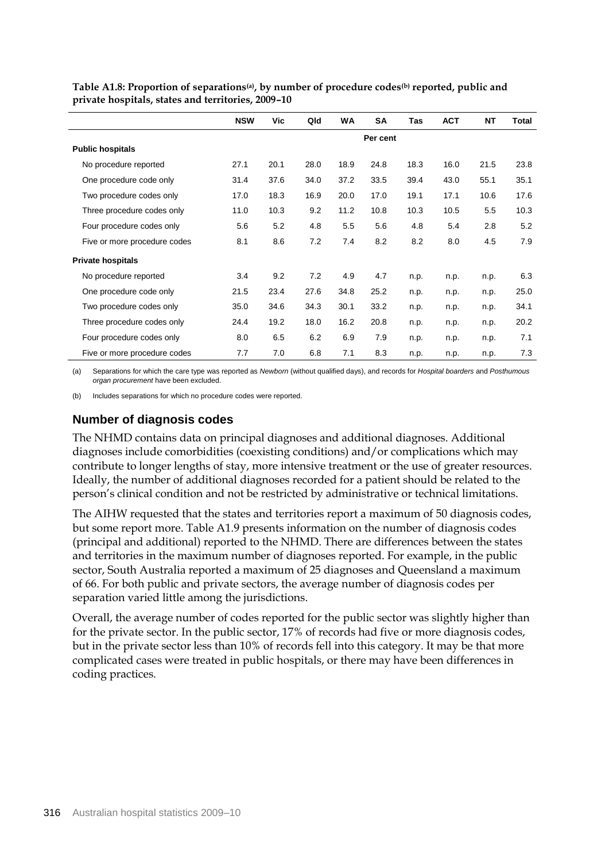|                              | <b>NSW</b> | Vic  | Qld  | <b>WA</b> | <b>SA</b> | <b>Tas</b> | <b>ACT</b> | ΝT   | Total |  |
|------------------------------|------------|------|------|-----------|-----------|------------|------------|------|-------|--|
|                              | Per cent   |      |      |           |           |            |            |      |       |  |
| <b>Public hospitals</b>      |            |      |      |           |           |            |            |      |       |  |
| No procedure reported        | 27.1       | 20.1 | 28.0 | 18.9      | 24.8      | 18.3       | 16.0       | 21.5 | 23.8  |  |
| One procedure code only      | 31.4       | 37.6 | 34.0 | 37.2      | 33.5      | 39.4       | 43.0       | 55.1 | 35.1  |  |
| Two procedure codes only     | 17.0       | 18.3 | 16.9 | 20.0      | 17.0      | 19.1       | 17.1       | 10.6 | 17.6  |  |
| Three procedure codes only   | 11.0       | 10.3 | 9.2  | 11.2      | 10.8      | 10.3       | 10.5       | 5.5  | 10.3  |  |
| Four procedure codes only    | 5.6        | 5.2  | 4.8  | 5.5       | 5.6       | 4.8        | 5.4        | 2.8  | 5.2   |  |
| Five or more procedure codes | 8.1        | 8.6  | 7.2  | 7.4       | 8.2       | 8.2        | 8.0        | 4.5  | 7.9   |  |
| <b>Private hospitals</b>     |            |      |      |           |           |            |            |      |       |  |
| No procedure reported        | 3.4        | 9.2  | 7.2  | 4.9       | 4.7       | n.p.       | n.p.       | n.p. | 6.3   |  |
| One procedure code only      | 21.5       | 23.4 | 27.6 | 34.8      | 25.2      | n.p.       | n.p.       | n.p. | 25.0  |  |
| Two procedure codes only     | 35.0       | 34.6 | 34.3 | 30.1      | 33.2      | n.p.       | n.p.       | n.p. | 34.1  |  |
| Three procedure codes only   | 24.4       | 19.2 | 18.0 | 16.2      | 20.8      | n.p.       | n.p.       | n.p. | 20.2  |  |
| Four procedure codes only    | 8.0        | 6.5  | 6.2  | 6.9       | 7.9       | n.p.       | n.p.       | n.p. | 7.1   |  |
| Five or more procedure codes | 7.7        | 7.0  | 6.8  | 7.1       | 8.3       | n.p.       | n.p.       | n.p. | 7.3   |  |

**Table A1.8: Proportion of separations(a), by number of procedure codes(b) reported, public and private hospitals, states and territories, 2009–10**

(a) Separations for which the care type was reported as *Newborn* (without qualified days), and records for *Hospital boarders* and *Posthumous organ procurement* have been excluded.

(b) Includes separations for which no procedure codes were reported.

## **Number of diagnosis codes**

The NHMD contains data on principal diagnoses and additional diagnoses. Additional diagnoses include comorbidities (coexisting conditions) and/or complications which may contribute to longer lengths of stay, more intensive treatment or the use of greater resources. Ideally, the number of additional diagnoses recorded for a patient should be related to the person's clinical condition and not be restricted by administrative or technical limitations.

The AIHW requested that the states and territories report a maximum of 50 diagnosis codes, but some report more. Table A1.9 presents information on the number of diagnosis codes (principal and additional) reported to the NHMD. There are differences between the states and territories in the maximum number of diagnoses reported. For example, in the public sector, South Australia reported a maximum of 25 diagnoses and Queensland a maximum of 66. For both public and private sectors, the average number of diagnosis codes per separation varied little among the jurisdictions.

Overall, the average number of codes reported for the public sector was slightly higher than for the private sector. In the public sector, 17% of records had five or more diagnosis codes, but in the private sector less than 10% of records fell into this category. It may be that more complicated cases were treated in public hospitals, or there may have been differences in coding practices.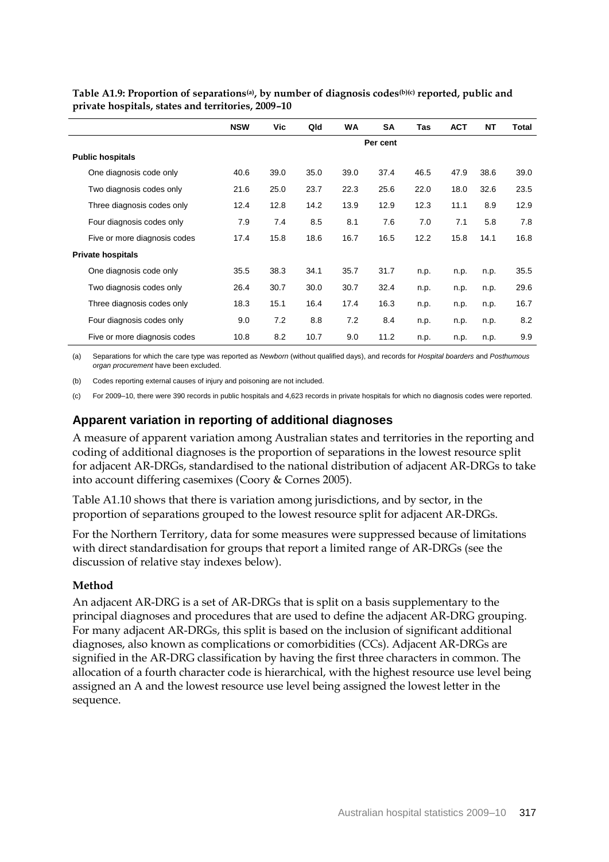|                              | <b>NSW</b> | Vic  | Qld  | <b>WA</b> | <b>SA</b> | <b>Tas</b> | <b>ACT</b> | <b>NT</b> | <b>Total</b> |  |
|------------------------------|------------|------|------|-----------|-----------|------------|------------|-----------|--------------|--|
|                              | Per cent   |      |      |           |           |            |            |           |              |  |
| <b>Public hospitals</b>      |            |      |      |           |           |            |            |           |              |  |
| One diagnosis code only      | 40.6       | 39.0 | 35.0 | 39.0      | 37.4      | 46.5       | 47.9       | 38.6      | 39.0         |  |
| Two diagnosis codes only     | 21.6       | 25.0 | 23.7 | 22.3      | 25.6      | 22.0       | 18.0       | 32.6      | 23.5         |  |
| Three diagnosis codes only   | 12.4       | 12.8 | 14.2 | 13.9      | 12.9      | 12.3       | 11.1       | 8.9       | 12.9         |  |
| Four diagnosis codes only    | 7.9        | 7.4  | 8.5  | 8.1       | 7.6       | 7.0        | 7.1        | 5.8       | 7.8          |  |
| Five or more diagnosis codes | 17.4       | 15.8 | 18.6 | 16.7      | 16.5      | 12.2       | 15.8       | 14.1      | 16.8         |  |
| <b>Private hospitals</b>     |            |      |      |           |           |            |            |           |              |  |
| One diagnosis code only      | 35.5       | 38.3 | 34.1 | 35.7      | 31.7      | n.p.       | n.p.       | n.p.      | 35.5         |  |
| Two diagnosis codes only     | 26.4       | 30.7 | 30.0 | 30.7      | 32.4      | n.p.       | n.p.       | n.p.      | 29.6         |  |
| Three diagnosis codes only   | 18.3       | 15.1 | 16.4 | 17.4      | 16.3      | n.p.       | n.p.       | n.p.      | 16.7         |  |
| Four diagnosis codes only    | 9.0        | 7.2  | 8.8  | 7.2       | 8.4       | n.p.       | n.p.       | n.p.      | 8.2          |  |
| Five or more diagnosis codes | 10.8       | 8.2  | 10.7 | 9.0       | 11.2      | n.p.       | n.p.       | n.p.      | 9.9          |  |

**Table A1.9: Proportion of separations(a), by number of diagnosis codes(b)(c) reported, public and private hospitals, states and territories, 2009–10**

(a) Separations for which the care type was reported as *Newborn* (without qualified days), and records for *Hospital boarders* and *Posthumous organ procurement* have been excluded.

(b) Codes reporting external causes of injury and poisoning are not included.

(c) For 2009–10, there were 390 records in public hospitals and 4,623 records in private hospitals for which no diagnosis codes were reported.

## **Apparent variation in reporting of additional diagnoses**

A measure of apparent variation among Australian states and territories in the reporting and coding of additional diagnoses is the proportion of separations in the lowest resource split for adjacent AR-DRGs, standardised to the national distribution of adjacent AR-DRGs to take into account differing casemixes (Coory & Cornes 2005).

Table A1.10 shows that there is variation among jurisdictions, and by sector, in the proportion of separations grouped to the lowest resource split for adjacent AR-DRGs.

For the Northern Territory, data for some measures were suppressed because of limitations with direct standardisation for groups that report a limited range of AR-DRGs (see the discussion of relative stay indexes below).

#### **Method**

An adjacent AR-DRG is a set of AR-DRGs that is split on a basis supplementary to the principal diagnoses and procedures that are used to define the adjacent AR-DRG grouping. For many adjacent AR-DRGs, this split is based on the inclusion of significant additional diagnoses, also known as complications or comorbidities (CCs). Adjacent AR-DRGs are signified in the AR-DRG classification by having the first three characters in common. The allocation of a fourth character code is hierarchical, with the highest resource use level being assigned an A and the lowest resource use level being assigned the lowest letter in the sequence.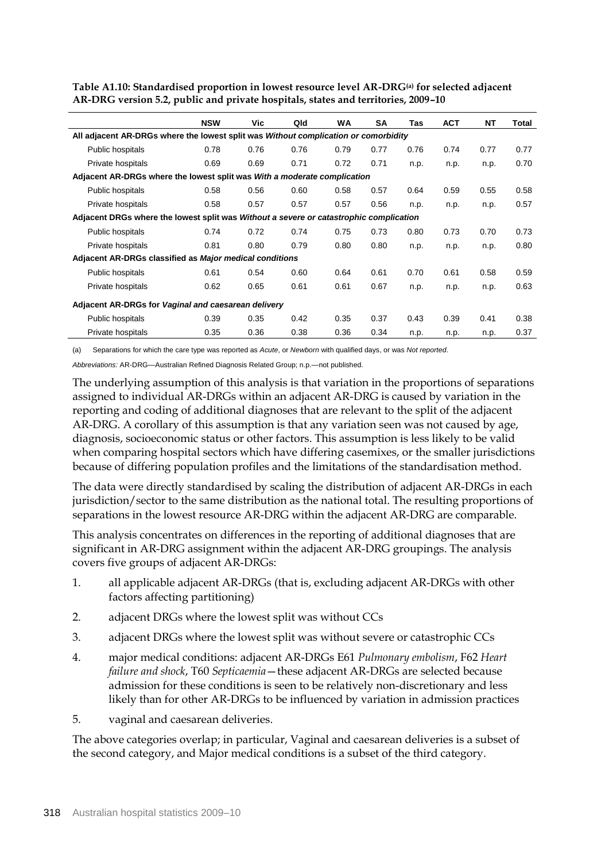|                                                                                        | <b>NSW</b> | Vic. | Qld  | WA   | <b>SA</b> | Tas  | <b>ACT</b> | <b>NT</b> | Total |  |
|----------------------------------------------------------------------------------------|------------|------|------|------|-----------|------|------------|-----------|-------|--|
| All adjacent AR-DRGs where the lowest split was Without complication or comorbidity    |            |      |      |      |           |      |            |           |       |  |
| Public hospitals                                                                       | 0.78       | 0.76 | 0.76 | 0.79 | 0.77      | 0.76 | 0.74       | 0.77      | 0.77  |  |
| Private hospitals                                                                      | 0.69       | 0.69 | 0.71 | 0.72 | 0.71      | n.p. | n.p.       | n.p.      | 0.70  |  |
| Adjacent AR-DRGs where the lowest split was With a moderate complication               |            |      |      |      |           |      |            |           |       |  |
| Public hospitals                                                                       | 0.58       | 0.56 | 0.60 | 0.58 | 0.57      | 0.64 | 0.59       | 0.55      | 0.58  |  |
| Private hospitals                                                                      | 0.58       | 0.57 | 0.57 | 0.57 | 0.56      | n.p. | n.p.       | n.p.      | 0.57  |  |
| Adjacent DRGs where the lowest split was Without a severe or catastrophic complication |            |      |      |      |           |      |            |           |       |  |
| Public hospitals                                                                       | 0.74       | 0.72 | 0.74 | 0.75 | 0.73      | 0.80 | 0.73       | 0.70      | 0.73  |  |
| Private hospitals                                                                      | 0.81       | 0.80 | 0.79 | 0.80 | 0.80      | n.p. | n.p.       | n.p.      | 0.80  |  |
| Adjacent AR-DRGs classified as Major medical conditions                                |            |      |      |      |           |      |            |           |       |  |
| <b>Public hospitals</b>                                                                | 0.61       | 0.54 | 0.60 | 0.64 | 0.61      | 0.70 | 0.61       | 0.58      | 0.59  |  |
| Private hospitals                                                                      | 0.62       | 0.65 | 0.61 | 0.61 | 0.67      | n.p. | n.p.       | n.p.      | 0.63  |  |
| Adjacent AR-DRGs for Vaginal and caesarean delivery                                    |            |      |      |      |           |      |            |           |       |  |
| Public hospitals                                                                       | 0.39       | 0.35 | 0.42 | 0.35 | 0.37      | 0.43 | 0.39       | 0.41      | 0.38  |  |
| Private hospitals                                                                      | 0.35       | 0.36 | 0.38 | 0.36 | 0.34      | n.p. | n.p.       | n.p.      | 0.37  |  |

**Table A1.10: Standardised proportion in lowest resource level AR-DRG(a) for selected adjacent AR-DRG version 5.2, public and private hospitals, states and territories, 2009–10**

(a) Separations for which the care type was reported as *Acute*, or *Newborn* with qualified days, or was *Not reported*.

*Abbreviations:* AR-DRG—Australian Refined Diagnosis Related Group; n.p.—not published.

The underlying assumption of this analysis is that variation in the proportions of separations assigned to individual AR-DRGs within an adjacent AR-DRG is caused by variation in the reporting and coding of additional diagnoses that are relevant to the split of the adjacent AR-DRG. A corollary of this assumption is that any variation seen was not caused by age, diagnosis, socioeconomic status or other factors. This assumption is less likely to be valid when comparing hospital sectors which have differing casemixes, or the smaller jurisdictions because of differing population profiles and the limitations of the standardisation method.

The data were directly standardised by scaling the distribution of adjacent AR-DRGs in each jurisdiction/sector to the same distribution as the national total. The resulting proportions of separations in the lowest resource AR-DRG within the adjacent AR-DRG are comparable.

This analysis concentrates on differences in the reporting of additional diagnoses that are significant in AR-DRG assignment within the adjacent AR-DRG groupings. The analysis covers five groups of adjacent AR-DRGs:

- 1. all applicable adjacent AR-DRGs (that is, excluding adjacent AR-DRGs with other factors affecting partitioning)
- 2. adjacent DRGs where the lowest split was without CCs
- 3. adjacent DRGs where the lowest split was without severe or catastrophic CCs
- 4. major medical conditions: adjacent AR-DRGs E61 *Pulmonary embolism*, F62 *Heart failure and shock*, T60 *Septicaemia*—these adjacent AR-DRGs are selected because admission for these conditions is seen to be relatively non-discretionary and less likely than for other AR-DRGs to be influenced by variation in admission practices
- 5. vaginal and caesarean deliveries.

The above categories overlap; in particular, Vaginal and caesarean deliveries is a subset of the second category, and Major medical conditions is a subset of the third category.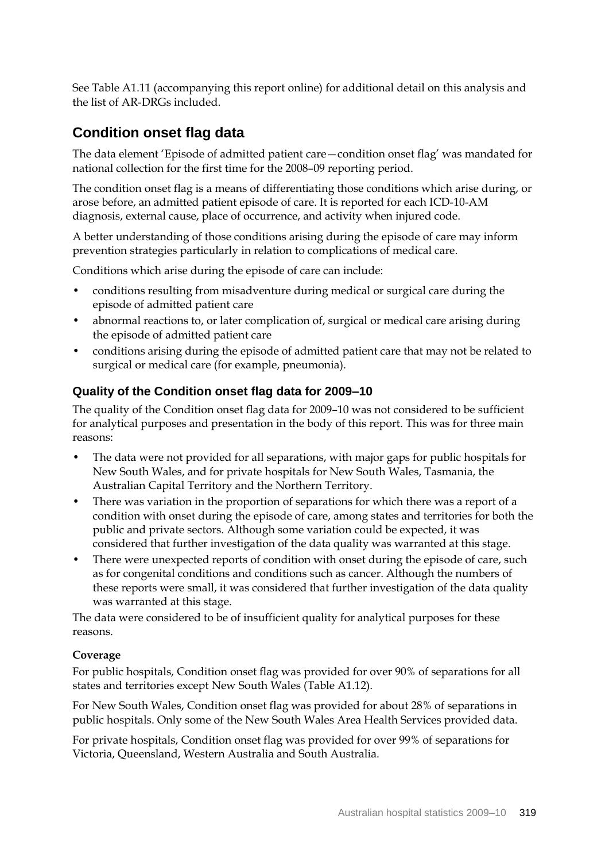See Table A1.11 (accompanying this report online) for additional detail on this analysis and the list of AR-DRGs included.

## **Condition onset flag data**

The data element 'Episode of admitted patient care—condition onset flag' was mandated for national collection for the first time for the 2008–09 reporting period.

The condition onset flag is a means of differentiating those conditions which arise during, or arose before, an admitted patient episode of care. It is reported for each ICD-10-AM diagnosis, external cause, place of occurrence, and activity when injured code.

A better understanding of those conditions arising during the episode of care may inform prevention strategies particularly in relation to complications of medical care.

Conditions which arise during the episode of care can include:

- conditions resulting from misadventure during medical or surgical care during the episode of admitted patient care
- abnormal reactions to, or later complication of, surgical or medical care arising during the episode of admitted patient care
- conditions arising during the episode of admitted patient care that may not be related to surgical or medical care (for example, pneumonia).

#### **Quality of the Condition onset flag data for 2009–10**

The quality of the Condition onset flag data for 2009–10 was not considered to be sufficient for analytical purposes and presentation in the body of this report. This was for three main reasons:

- The data were not provided for all separations, with major gaps for public hospitals for New South Wales, and for private hospitals for New South Wales, Tasmania, the Australian Capital Territory and the Northern Territory.
- There was variation in the proportion of separations for which there was a report of a condition with onset during the episode of care, among states and territories for both the public and private sectors. Although some variation could be expected, it was considered that further investigation of the data quality was warranted at this stage.
- There were unexpected reports of condition with onset during the episode of care, such as for congenital conditions and conditions such as cancer. Although the numbers of these reports were small, it was considered that further investigation of the data quality was warranted at this stage.

The data were considered to be of insufficient quality for analytical purposes for these reasons.

#### **Coverage**

For public hospitals, Condition onset flag was provided for over 90% of separations for all states and territories except New South Wales (Table A1.12).

For New South Wales, Condition onset flag was provided for about 28% of separations in public hospitals. Only some of the New South Wales Area Health Services provided data.

For private hospitals, Condition onset flag was provided for over 99% of separations for Victoria, Queensland, Western Australia and South Australia.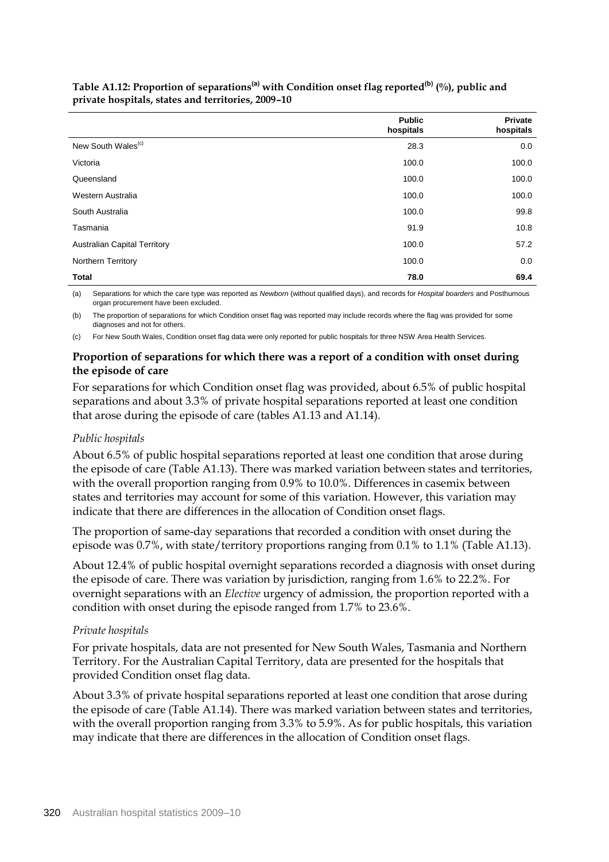|                                     | <b>Public</b><br>hospitals | <b>Private</b><br>hospitals |
|-------------------------------------|----------------------------|-----------------------------|
| New South Wales <sup>(c)</sup>      | 28.3                       | 0.0                         |
| Victoria                            | 100.0                      | 100.0                       |
| Queensland                          | 100.0                      | 100.0                       |
| Western Australia                   | 100.0                      | 100.0                       |
| South Australia                     | 100.0                      | 99.8                        |
| Tasmania                            | 91.9                       | 10.8                        |
| <b>Australian Capital Territory</b> | 100.0                      | 57.2                        |
| <b>Northern Territory</b>           | 100.0                      | 0.0                         |
| <b>Total</b>                        | 78.0                       | 69.4                        |

### **Table A1.12: Proportion of separations(a) with Condition onset flag reported(b) (%), public and private hospitals, states and territories, 2009–10**

(a) Separations for which the care type was reported as *Newborn* (without qualified days), and records for *Hospital boarders* and Posthumous organ procurement have been excluded.

(b) The proportion of separations for which Condition onset flag was reported may include records where the flag was provided for some diagnoses and not for others.

(c) For New South Wales, Condition onset flag data were only reported for public hospitals for three NSW Area Health Services.

## **Proportion of separations for which there was a report of a condition with onset during the episode of care**

For separations for which Condition onset flag was provided, about 6.5% of public hospital separations and about 3.3% of private hospital separations reported at least one condition that arose during the episode of care (tables A1.13 and A1.14).

## *Public hospitals*

About 6.5% of public hospital separations reported at least one condition that arose during the episode of care (Table A1.13). There was marked variation between states and territories, with the overall proportion ranging from 0.9% to 10.0%. Differences in casemix between states and territories may account for some of this variation. However, this variation may indicate that there are differences in the allocation of Condition onset flags.

The proportion of same-day separations that recorded a condition with onset during the episode was 0.7%, with state/territory proportions ranging from 0.1% to 1.1% (Table A1.13).

About 12.4% of public hospital overnight separations recorded a diagnosis with onset during the episode of care. There was variation by jurisdiction, ranging from 1.6% to 22.2%. For overnight separations with an *Elective* urgency of admission, the proportion reported with a condition with onset during the episode ranged from 1.7% to 23.6%.

## *Private hospitals*

For private hospitals, data are not presented for New South Wales, Tasmania and Northern Territory. For the Australian Capital Territory, data are presented for the hospitals that provided Condition onset flag data.

About 3.3% of private hospital separations reported at least one condition that arose during the episode of care (Table A1.14). There was marked variation between states and territories, with the overall proportion ranging from 3.3% to 5.9%. As for public hospitals, this variation may indicate that there are differences in the allocation of Condition onset flags.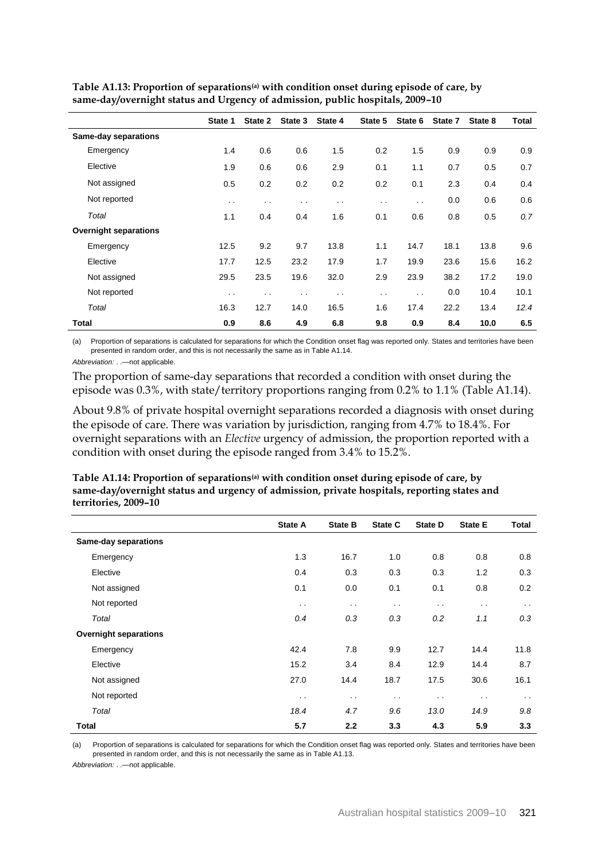|                              | State 1 | State 2              | State 3 | State 4              | State 5              | State 6              | State 7 | State 8 | Total |
|------------------------------|---------|----------------------|---------|----------------------|----------------------|----------------------|---------|---------|-------|
| <b>Same-day separations</b>  |         |                      |         |                      |                      |                      |         |         |       |
| Emergency                    | 1.4     | 0.6                  | 0.6     | 1.5                  | 0.2                  | 1.5                  | 0.9     | 0.9     | 0.9   |
| Elective                     | 1.9     | 0.6                  | 0.6     | 2.9                  | 0.1                  | 1.1                  | 0.7     | 0.5     | 0.7   |
| Not assigned                 | 0.5     | 0.2                  | 0.2     | 0.2                  | 0.2                  | 0.1                  | 2.3     | 0.4     | 0.4   |
| Not reported                 | $\sim$  | $\sim$               | . .     | $\sim$ $\sim$        | $\ddot{\phantom{0}}$ | $\ddot{\phantom{a}}$ | 0.0     | 0.6     | 0.6   |
| Total                        | 1.1     | 0.4                  | 0.4     | 1.6                  | 0.1                  | 0.6                  | 0.8     | 0.5     | 0.7   |
| <b>Overnight separations</b> |         |                      |         |                      |                      |                      |         |         |       |
| Emergency                    | 12.5    | 9.2                  | 9.7     | 13.8                 | 1.1                  | 14.7                 | 18.1    | 13.8    | 9.6   |
| Elective                     | 17.7    | 12.5                 | 23.2    | 17.9                 | 1.7                  | 19.9                 | 23.6    | 15.6    | 16.2  |
| Not assigned                 | 29.5    | 23.5                 | 19.6    | 32.0                 | 2.9                  | 23.9                 | 38.2    | 17.2    | 19.0  |
| Not reported                 | $\sim$  | $\ddot{\phantom{0}}$ | $\sim$  | $\ddot{\phantom{a}}$ | $\sim$ $\sim$        | $\ddot{\phantom{0}}$ | 0.0     | 10.4    | 10.1  |
| Total                        | 16.3    | 12.7                 | 14.0    | 16.5                 | 1.6                  | 17.4                 | 22.2    | 13.4    | 12.4  |
| Total                        | 0.9     | 8.6                  | 4.9     | 6.8                  | 9.8                  | 0.9                  | 8.4     | 10.0    | 6.5   |

**Table A1.13: Proportion of separations(a) with condition onset during episode of care, by same-day/overnight status and Urgency of admission, public hospitals, 2009–10**

(a) Proportion of separations is calculated for separations for which the Condition onset flag was reported only. States and territories have been presented in random order, and this is not necessarily the same as in Table A1.14.

*Abbreviation:* . .—not applicable.

The proportion of same-day separations that recorded a condition with onset during the episode was 0.3%, with state/territory proportions ranging from 0.2% to 1.1% (Table A1.14).

About 9.8% of private hospital overnight separations recorded a diagnosis with onset during the episode of care. There was variation by jurisdiction, ranging from 4.7% to 18.4%. For overnight separations with an *Elective* urgency of admission, the proportion reported with a condition with onset during the episode ranged from 3.4% to 15.2%.

|                              | State A       | <b>State B</b> | State C       | <b>State D</b> | <b>State E</b> | <b>Total</b>  |
|------------------------------|---------------|----------------|---------------|----------------|----------------|---------------|
| <b>Same-day separations</b>  |               |                |               |                |                |               |
| Emergency                    | 1.3           | 16.7           | 1.0           | 0.8            | 0.8            | 0.8           |
| Elective                     | 0.4           | 0.3            | 0.3           | 0.3            | 1.2            | 0.3           |
| Not assigned                 | 0.1           | 0.0            | 0.1           | 0.1            | 0.8            | 0.2           |
| Not reported                 | $\sim$ $\sim$ | $\sim$ $\sim$  | $\sim$ $\sim$ | $\sim$ $\sim$  | $\sim$ $\sim$  | $\sim$ $\sim$ |
| Total                        | 0.4           | 0.3            | 0.3           | 0.2            | 1.1            | 0.3           |
| <b>Overnight separations</b> |               |                |               |                |                |               |
| Emergency                    | 42.4          | 7.8            | 9.9           | 12.7           | 14.4           | 11.8          |
| Elective                     | 15.2          | 3.4            | 8.4           | 12.9           | 14.4           | 8.7           |
| Not assigned                 | 27.0          | 14.4           | 18.7          | 17.5           | 30.6           | 16.1          |
| Not reported                 | $\sim$ $\sim$ | $\sim$ $\sim$  | $\sim$ $\sim$ | $\sim$ $\sim$  | $\sim$ $\sim$  | $\sim$ $\sim$ |
| Total                        | 18.4          | 4.7            | 9.6           | 13.0           | 14.9           | 9.8           |
| Total                        | 5.7           | 2.2            | 3.3           | 4.3            | 5.9            | 3.3           |

**Table A1.14: Proportion of separations(a) with condition onset during episode of care, by same-day/overnight status and urgency of admission, private hospitals, reporting states and territories, 2009–10**

(a) Proportion of separations is calculated for separations for which the Condition onset flag was reported only. States and territories have been presented in random order, and this is not necessarily the same as in Table A1.13.

*Abbreviation:* . .—not applicable.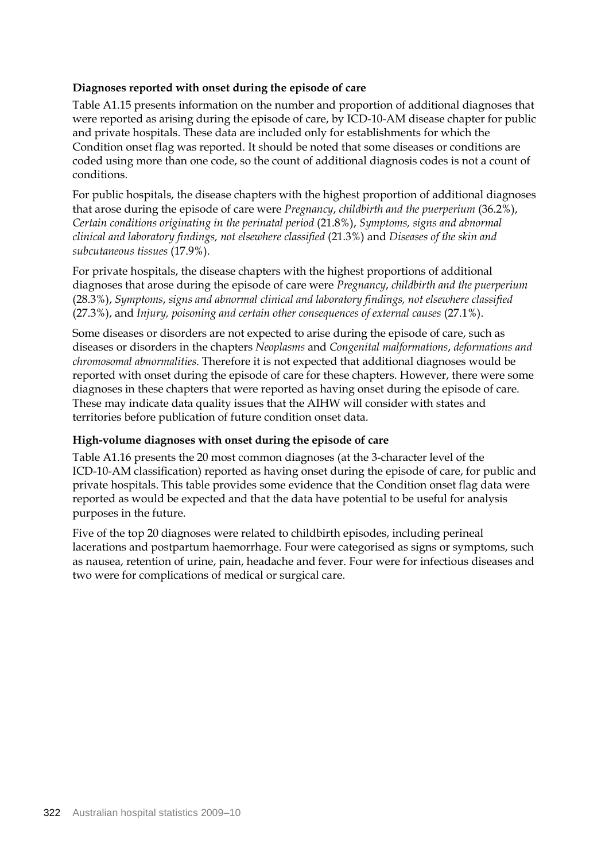## **Diagnoses reported with onset during the episode of care**

Table A1.15 presents information on the number and proportion of additional diagnoses that were reported as arising during the episode of care, by ICD-10-AM disease chapter for public and private hospitals. These data are included only for establishments for which the Condition onset flag was reported. It should be noted that some diseases or conditions are coded using more than one code, so the count of additional diagnosis codes is not a count of conditions.

For public hospitals, the disease chapters with the highest proportion of additional diagnoses that arose during the episode of care were *Pregnancy*, *childbirth and the puerperium* (36.2%), *Certain conditions originating in the perinatal period* (21.8%), *Symptoms, signs and abnormal clinical and laboratory findings, not elsewhere classified* (21.3%) and *Diseases of the skin and subcutaneous tissues* (17.9%).

For private hospitals, the disease chapters with the highest proportions of additional diagnoses that arose during the episode of care were *Pregnancy*, *childbirth and the puerperium* (28.3%), *Symptoms*, *signs and abnormal clinical and laboratory findings, not elsewhere classified* (27.3%), and *Injury, poisoning and certain other consequences of external causes* (27.1%).

Some diseases or disorders are not expected to arise during the episode of care, such as diseases or disorders in the chapters *Neoplasms* and *Congenital malformations*, *deformations and chromosomal abnormalities*. Therefore it is not expected that additional diagnoses would be reported with onset during the episode of care for these chapters. However, there were some diagnoses in these chapters that were reported as having onset during the episode of care. These may indicate data quality issues that the AIHW will consider with states and territories before publication of future condition onset data.

#### **High-volume diagnoses with onset during the episode of care**

Table A1.16 presents the 20 most common diagnoses (at the 3-character level of the ICD-10-AM classification) reported as having onset during the episode of care, for public and private hospitals. This table provides some evidence that the Condition onset flag data were reported as would be expected and that the data have potential to be useful for analysis purposes in the future.

Five of the top 20 diagnoses were related to childbirth episodes, including perineal lacerations and postpartum haemorrhage. Four were categorised as signs or symptoms, such as nausea, retention of urine, pain, headache and fever. Four were for infectious diseases and two were for complications of medical or surgical care.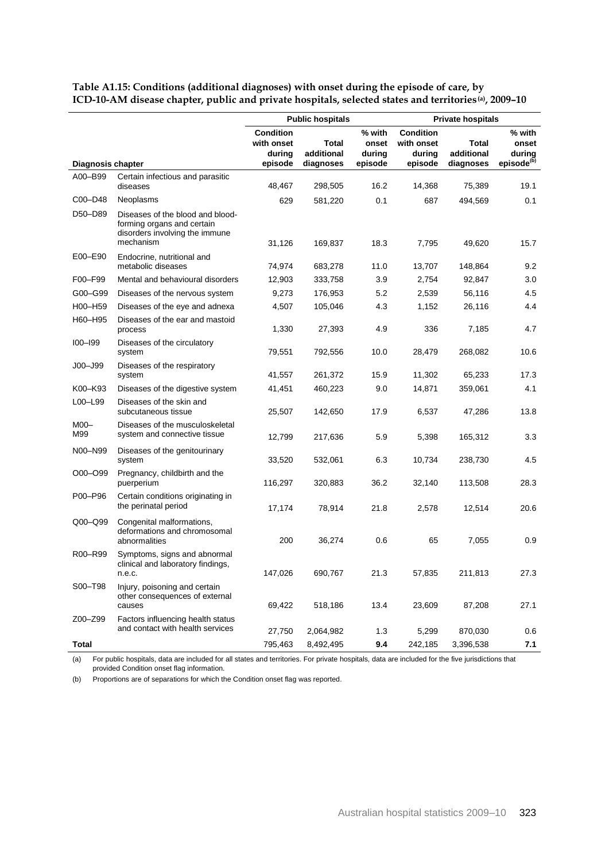|                   |                                                                                                               | <b>Public hospitals</b>                                                                                                         |           |                                                     | <b>Private hospitals</b>         |                                                     |      |  |
|-------------------|---------------------------------------------------------------------------------------------------------------|---------------------------------------------------------------------------------------------------------------------------------|-----------|-----------------------------------------------------|----------------------------------|-----------------------------------------------------|------|--|
| Diagnosis chapter |                                                                                                               | <b>Condition</b><br>% with<br>with onset<br>Total<br>onset<br>additional<br>during<br>during<br>episode<br>episode<br>diagnoses |           | <b>Condition</b><br>with onset<br>during<br>episode | Total<br>additional<br>diagnoses | % with<br>onset<br>during<br>episode <sup>(b)</sup> |      |  |
| A00-B99           | Certain infectious and parasitic<br>diseases                                                                  | 48,467                                                                                                                          | 298,505   | 16.2                                                | 14,368                           | 75,389                                              | 19.1 |  |
| C00-D48           | Neoplasms                                                                                                     | 629                                                                                                                             | 581,220   | 0.1                                                 | 687                              | 494,569                                             | 0.1  |  |
| D50-D89           | Diseases of the blood and blood-<br>forming organs and certain<br>disorders involving the immune<br>mechanism | 31,126                                                                                                                          | 169,837   | 18.3                                                | 7,795                            | 49,620                                              | 15.7 |  |
| E00-E90           | Endocrine, nutritional and<br>metabolic diseases                                                              | 74,974                                                                                                                          | 683,278   | 11.0                                                | 13,707                           | 148,864                                             | 9.2  |  |
| F00-F99           | Mental and behavioural disorders                                                                              | 12,903                                                                                                                          | 333,758   | 3.9                                                 | 2,754                            | 92,847                                              | 3.0  |  |
| G00-G99           | Diseases of the nervous system                                                                                | 9,273                                                                                                                           | 176,953   | 5.2                                                 | 2,539                            | 56,116                                              | 4.5  |  |
| H00-H59           | Diseases of the eye and adnexa                                                                                | 4,507                                                                                                                           | 105,046   | 4.3                                                 | 1,152                            | 26,116                                              | 4.4  |  |
| H60-H95           | Diseases of the ear and mastoid<br>process                                                                    | 1,330                                                                                                                           | 27,393    | 4.9                                                 | 336                              | 7,185                                               | 4.7  |  |
| $IOO-I99$         | Diseases of the circulatory<br>system                                                                         | 79,551                                                                                                                          | 792,556   | 10.0                                                | 28,479                           | 268,082                                             | 10.6 |  |
| $JOO - J99$       | Diseases of the respiratory<br>system                                                                         | 41,557                                                                                                                          | 261,372   | 15.9                                                | 11,302                           | 65,233                                              | 17.3 |  |
| K00-K93           | Diseases of the digestive system                                                                              | 41,451                                                                                                                          | 460,223   | 9.0                                                 | 14,871                           | 359,061                                             | 4.1  |  |
| L00-L99           | Diseases of the skin and<br>subcutaneous tissue                                                               | 25,507                                                                                                                          | 142,650   | 17.9                                                | 6,537                            | 47,286                                              | 13.8 |  |
| $MOO-$<br>M99     | Diseases of the musculoskeletal<br>system and connective tissue                                               | 12,799                                                                                                                          | 217,636   | 5.9                                                 | 5,398                            | 165,312                                             | 3.3  |  |
| N00-N99           | Diseases of the genitourinary<br>system                                                                       | 33,520                                                                                                                          | 532,061   | 6.3                                                 | 10,734                           | 238,730                                             | 4.5  |  |
| O00-O99           | Pregnancy, childbirth and the<br>puerperium                                                                   | 116,297                                                                                                                         | 320,883   | 36.2                                                | 32,140                           | 113,508                                             | 28.3 |  |
| P00-P96           | Certain conditions originating in<br>the perinatal period                                                     | 17,174                                                                                                                          | 78,914    | 21.8                                                | 2,578                            | 12,514                                              | 20.6 |  |
| Q00-Q99           | Congenital malformations,<br>deformations and chromosomal<br>abnormalities                                    | 200                                                                                                                             | 36,274    | 0.6                                                 | 65                               | 7,055                                               | 0.9  |  |
| R00-R99           | Symptoms, signs and abnormal<br>clinical and laboratory findings,<br>n.e.c.                                   | 147,026                                                                                                                         | 690,767   | 21.3                                                | 57,835                           | 211,813                                             | 27.3 |  |
| S00-T98           | Injury, poisoning and certain<br>other consequences of external<br>causes                                     | 69,422                                                                                                                          | 518,186   | 13.4                                                | 23,609                           | 87,208                                              | 27.1 |  |
| Z00-Z99           | Factors influencing health status<br>and contact with health services                                         | 27,750                                                                                                                          | 2,064,982 | 1.3                                                 | 5,299                            | 870,030                                             | 0.6  |  |
| Total             |                                                                                                               | 795,463                                                                                                                         | 8,492,495 | 9.4                                                 | 242,185                          | 3,396,538                                           | 7.1  |  |

**Table A1.15: Conditions (additional diagnoses) with onset during the episode of care, by ICD-10-AM disease chapter, public and private hospitals, selected states and territories(a), 2009–10**

(a) For public hospitals, data are included for all states and territories. For private hospitals, data are included for the five jurisdictions that provided Condition onset flag information.

(b) Proportions are of separations for which the Condition onset flag was reported.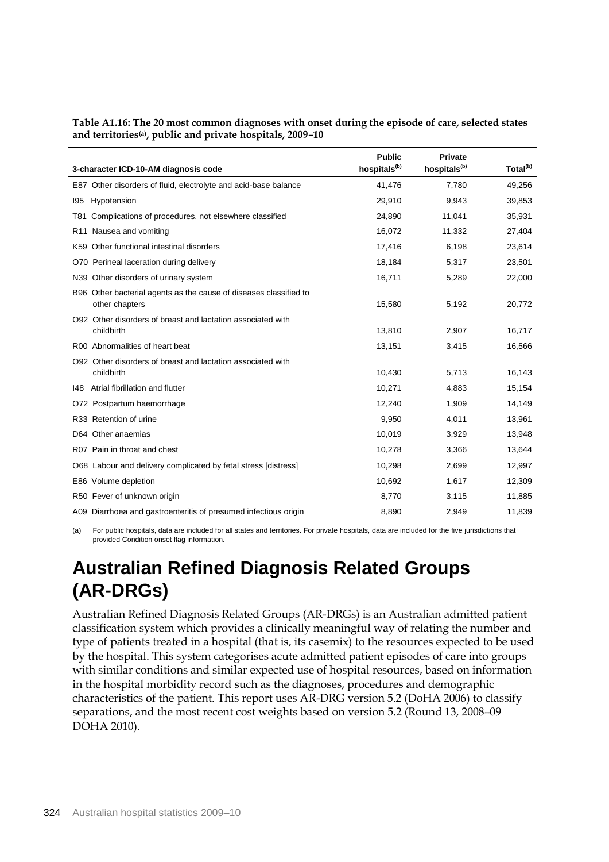| 3-character ICD-10-AM diagnosis code                                                | <b>Public</b><br>hospitals <sup>(b)</sup> | <b>Private</b><br>hospitals <sup>(b)</sup> | Total <sup>(b)</sup> |
|-------------------------------------------------------------------------------------|-------------------------------------------|--------------------------------------------|----------------------|
| E87 Other disorders of fluid, electrolyte and acid-base balance                     | 41,476                                    | 7,780                                      | 49,256               |
| Hypotension<br>195                                                                  | 29,910                                    | 9,943                                      | 39,853               |
| Complications of procedures, not elsewhere classified<br>T81.                       | 24,890                                    | 11,041                                     | 35,931               |
| R11 Nausea and vomiting                                                             | 16,072                                    | 11,332                                     | 27,404               |
| K59 Other functional intestinal disorders                                           | 17,416                                    | 6,198                                      | 23,614               |
| O70 Perineal laceration during delivery                                             | 18,184                                    | 5,317                                      | 23,501               |
| N39 Other disorders of urinary system                                               | 16,711                                    | 5,289                                      | 22,000               |
| B96 Other bacterial agents as the cause of diseases classified to<br>other chapters | 15,580                                    | 5,192                                      | 20,772               |
| O92 Other disorders of breast and lactation associated with<br>childbirth           | 13,810                                    | 2,907                                      | 16,717               |
| R00 Abnormalities of heart beat                                                     | 13,151                                    | 3,415                                      | 16,566               |
| O92 Other disorders of breast and lactation associated with<br>childbirth           | 10,430                                    | 5,713                                      | 16,143               |
| 148 Atrial fibrillation and flutter                                                 | 10,271                                    | 4,883                                      | 15,154               |
| O72 Postpartum haemorrhage                                                          | 12,240                                    | 1,909                                      | 14,149               |
| R33 Retention of urine                                                              | 9,950                                     | 4,011                                      | 13,961               |
| D64 Other anaemias                                                                  | 10,019                                    | 3,929                                      | 13,948               |
| R07 Pain in throat and chest                                                        | 10,278                                    | 3,366                                      | 13,644               |
| O68 Labour and delivery complicated by fetal stress [distress]                      | 10,298                                    | 2,699                                      | 12,997               |
| E86 Volume depletion                                                                | 10,692                                    | 1,617                                      | 12,309               |
| R50 Fever of unknown origin                                                         | 8,770                                     | 3,115                                      | 11,885               |
| A09 Diarrhoea and gastroenteritis of presumed infectious origin                     | 8,890                                     | 2,949                                      | 11,839               |

**Table A1.16: The 20 most common diagnoses with onset during the episode of care, selected states and territories(a) , public and private hospitals, 2009–10**

(a) For public hospitals, data are included for all states and territories. For private hospitals, data are included for the five jurisdictions that provided Condition onset flag information.

# **Australian Refined Diagnosis Related Groups (AR-DRGs)**

Australian Refined Diagnosis Related Groups (AR-DRGs) is an Australian admitted patient classification system which provides a clinically meaningful way of relating the number and type of patients treated in a hospital (that is, its casemix) to the resources expected to be used by the hospital. This system categorises acute admitted patient episodes of care into groups with similar conditions and similar expected use of hospital resources, based on information in the hospital morbidity record such as the diagnoses, procedures and demographic characteristics of the patient. This report uses AR-DRG version 5.2 (DoHA 2006) to classify separations, and the most recent cost weights based on version 5.2 (Round 13, 2008–09 DOHA 2010).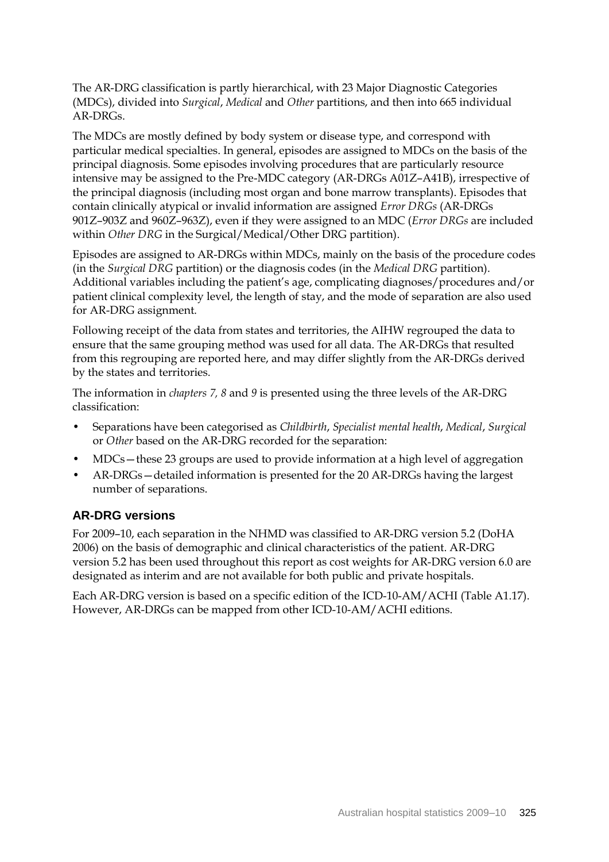The AR-DRG classification is partly hierarchical, with 23 Major Diagnostic Categories (MDCs), divided into *Surgical*, *Medical* and *Other* partitions, and then into 665 individual AR-DRGs.

The MDCs are mostly defined by body system or disease type, and correspond with particular medical specialties. In general, episodes are assigned to MDCs on the basis of the principal diagnosis. Some episodes involving procedures that are particularly resource intensive may be assigned to the Pre-MDC category (AR-DRGs A01Z–A41B), irrespective of the principal diagnosis (including most organ and bone marrow transplants). Episodes that contain clinically atypical or invalid information are assigned *Error DRGs* (AR-DRGs 901Z–903Z and 960Z–963Z), even if they were assigned to an MDC (*Error DRGs* are included within *Other DRG* in the Surgical/Medical/Other DRG partition).

Episodes are assigned to AR-DRGs within MDCs, mainly on the basis of the procedure codes (in the *Surgical DRG* partition) or the diagnosis codes (in the *Medical DRG* partition). Additional variables including the patient's age, complicating diagnoses/procedures and/or patient clinical complexity level, the length of stay, and the mode of separation are also used for AR-DRG assignment.

Following receipt of the data from states and territories, the AIHW regrouped the data to ensure that the same grouping method was used for all data. The AR-DRGs that resulted from this regrouping are reported here, and may differ slightly from the AR-DRGs derived by the states and territories.

The information in *chapters 7, 8* and *9* is presented using the three levels of the AR-DRG classification:

- Separations have been categorised as *Childbirth*, *Specialist mental health*, *Medical*, *Surgical*  or *Other* based on the AR-DRG recorded for the separation:
- MDCs—these 23 groups are used to provide information at a high level of aggregation
- AR-DRGs—detailed information is presented for the 20 AR-DRGs having the largest number of separations.

#### **AR-DRG versions**

For 2009–10, each separation in the NHMD was classified to AR-DRG version 5.2 (DoHA 2006) on the basis of demographic and clinical characteristics of the patient. AR-DRG version 5.2 has been used throughout this report as cost weights for AR-DRG version 6.0 are designated as interim and are not available for both public and private hospitals.

Each AR-DRG version is based on a specific edition of the ICD-10-AM/ACHI (Table A1.17). However, AR-DRGs can be mapped from other ICD-10-AM/ACHI editions.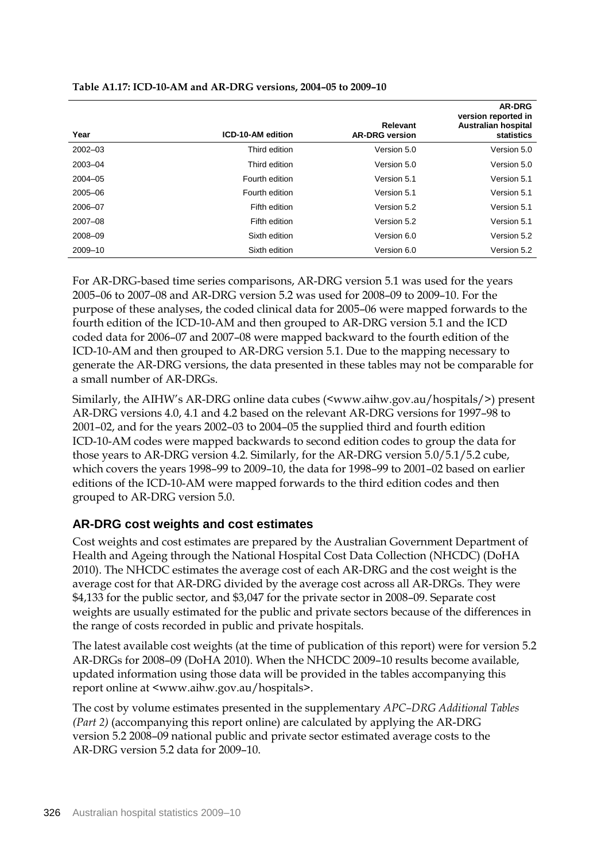|             |                   | Relevant              | <b>AR-DRG</b><br>version reported in<br><b>Australian hospital</b> |
|-------------|-------------------|-----------------------|--------------------------------------------------------------------|
| Year        | ICD-10-AM edition | <b>AR-DRG version</b> | statistics                                                         |
| $2002 - 03$ | Third edition     | Version 5.0           | Version 5.0                                                        |
| 2003-04     | Third edition     | Version 5.0           | Version 5.0                                                        |
| $2004 - 05$ | Fourth edition    | Version 5.1           | Version 5.1                                                        |
| 2005-06     | Fourth edition    | Version 5.1           | Version 5.1                                                        |
| 2006-07     | Fifth edition     | Version 5.2           | Version 5.1                                                        |
| $2007 - 08$ | Fifth edition     | Version 5.2           | Version 5.1                                                        |
| 2008-09     | Sixth edition     | Version 6.0           | Version 5.2                                                        |
| 2009-10     | Sixth edition     | Version 6.0           | Version 5.2                                                        |

**Table A1.17: ICD-10-AM and AR-DRG versions, 2004–05 to 2009–10**

For AR-DRG-based time series comparisons, AR-DRG version 5.1 was used for the years 2005–06 to 2007–08 and AR-DRG version 5.2 was used for 2008–09 to 2009–10. For the purpose of these analyses, the coded clinical data for 2005–06 were mapped forwards to the fourth edition of the ICD-10-AM and then grouped to AR-DRG version 5.1 and the ICD coded data for 2006–07 and 2007–08 were mapped backward to the fourth edition of the ICD-10-AM and then grouped to AR-DRG version 5.1. Due to the mapping necessary to generate the AR-DRG versions, the data presented in these tables may not be comparable for a small number of AR-DRGs.

Similarly, the AIHW's AR-DRG online data cubes (<www.aihw.gov.au/hospitals/>) present AR-DRG versions 4.0, 4.1 and 4.2 based on the relevant AR-DRG versions for 1997–98 to 2001–02, and for the years 2002–03 to 2004–05 the supplied third and fourth edition ICD-10-AM codes were mapped backwards to second edition codes to group the data for those years to AR-DRG version 4.2. Similarly, for the AR-DRG version 5.0/5.1/5.2 cube, which covers the years 1998–99 to 2009–10, the data for 1998–99 to 2001–02 based on earlier editions of the ICD-10-AM were mapped forwards to the third edition codes and then grouped to AR-DRG version 5.0.

## **AR-DRG cost weights and cost estimates**

Cost weights and cost estimates are prepared by the Australian Government Department of Health and Ageing through the National Hospital Cost Data Collection (NHCDC) (DoHA 2010). The NHCDC estimates the average cost of each AR-DRG and the cost weight is the average cost for that AR-DRG divided by the average cost across all AR-DRGs. They were \$4,133 for the public sector, and \$3,047 for the private sector in 2008–09. Separate cost weights are usually estimated for the public and private sectors because of the differences in the range of costs recorded in public and private hospitals.

The latest available cost weights (at the time of publication of this report) were for version 5.2 AR-DRGs for 2008–09 (DoHA 2010). When the NHCDC 2009–10 results become available, updated information using those data will be provided in the tables accompanying this report online at <www.aihw.gov.au/hospitals>.

The cost by volume estimates presented in the supplementary *APC–DRG Additional Tables (Part 2)* (accompanying this report online) are calculated by applying the AR-DRG version 5.2 2008–09 national public and private sector estimated average costs to the AR-DRG version 5.2 data for 2009–10.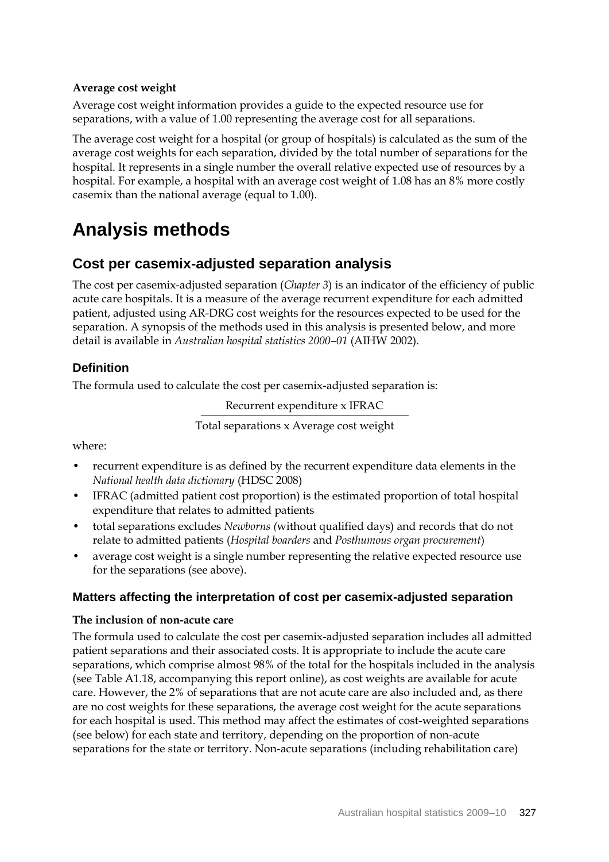## **Average cost weight**

Average cost weight information provides a guide to the expected resource use for separations, with a value of 1.00 representing the average cost for all separations.

The average cost weight for a hospital (or group of hospitals) is calculated as the sum of the average cost weights for each separation, divided by the total number of separations for the hospital. It represents in a single number the overall relative expected use of resources by a hospital. For example, a hospital with an average cost weight of 1.08 has an 8% more costly casemix than the national average (equal to 1.00).

# **Analysis methods**

## **Cost per casemix-adjusted separation analysis**

The cost per casemix-adjusted separation (*Chapter 3*) is an indicator of the efficiency of public acute care hospitals. It is a measure of the average recurrent expenditure for each admitted patient, adjusted using AR-DRG cost weights for the resources expected to be used for the separation. A synopsis of the methods used in this analysis is presented below, and more detail is available in *Australian hospital statistics 2000–01* (AIHW 2002).

## **Definition**

The formula used to calculate the cost per casemix-adjusted separation is:

Recurrent expenditure x IFRAC

Total separations x Average cost weight

where:

- recurrent expenditure is as defined by the recurrent expenditure data elements in the *National health data dictionary* (HDSC 2008)
- IFRAC (admitted patient cost proportion) is the estimated proportion of total hospital expenditure that relates to admitted patients
- total separations excludes *Newborns (*without qualified days) and records that do not relate to admitted patients (*Hospital boarders* and *Posthumous organ procurement*)
- average cost weight is a single number representing the relative expected resource use for the separations (see above).

## **Matters affecting the interpretation of cost per casemix-adjusted separation**

#### **The inclusion of non-acute care**

The formula used to calculate the cost per casemix-adjusted separation includes all admitted patient separations and their associated costs. It is appropriate to include the acute care separations, which comprise almost 98% of the total for the hospitals included in the analysis (see Table A1.18, accompanying this report online), as cost weights are available for acute care. However, the 2% of separations that are not acute care are also included and, as there are no cost weights for these separations, the average cost weight for the acute separations for each hospital is used. This method may affect the estimates of cost-weighted separations (see below) for each state and territory, depending on the proportion of non-acute separations for the state or territory. Non-acute separations (including rehabilitation care)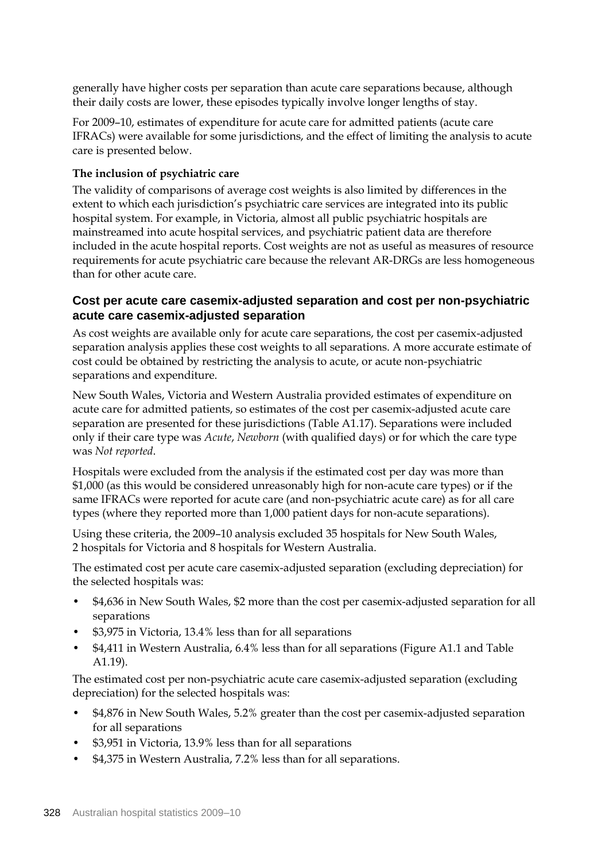generally have higher costs per separation than acute care separations because, although their daily costs are lower, these episodes typically involve longer lengths of stay.

For 2009–10, estimates of expenditure for acute care for admitted patients (acute care IFRACs) were available for some jurisdictions, and the effect of limiting the analysis to acute care is presented below.

### **The inclusion of psychiatric care**

The validity of comparisons of average cost weights is also limited by differences in the extent to which each jurisdiction's psychiatric care services are integrated into its public hospital system. For example, in Victoria, almost all public psychiatric hospitals are mainstreamed into acute hospital services, and psychiatric patient data are therefore included in the acute hospital reports. Cost weights are not as useful as measures of resource requirements for acute psychiatric care because the relevant AR-DRGs are less homogeneous than for other acute care.

## **Cost per acute care casemix-adjusted separation and cost per non-psychiatric acute care casemix-adjusted separation**

As cost weights are available only for acute care separations, the cost per casemix-adjusted separation analysis applies these cost weights to all separations. A more accurate estimate of cost could be obtained by restricting the analysis to acute, or acute non-psychiatric separations and expenditure.

New South Wales, Victoria and Western Australia provided estimates of expenditure on acute care for admitted patients, so estimates of the cost per casemix-adjusted acute care separation are presented for these jurisdictions (Table A1.17). Separations were included only if their care type was *Acute*, *Newborn* (with qualified days) or for which the care type was *Not reported*.

Hospitals were excluded from the analysis if the estimated cost per day was more than \$1,000 (as this would be considered unreasonably high for non-acute care types) or if the same IFRACs were reported for acute care (and non-psychiatric acute care) as for all care types (where they reported more than 1,000 patient days for non-acute separations).

Using these criteria, the 2009–10 analysis excluded 35 hospitals for New South Wales, 2 hospitals for Victoria and 8 hospitals for Western Australia.

The estimated cost per acute care casemix-adjusted separation (excluding depreciation) for the selected hospitals was:

- \$4,636 in New South Wales, \$2 more than the cost per casemix-adjusted separation for all separations
- \$3,975 in Victoria, 13.4% less than for all separations
- \$4,411 in Western Australia, 6.4% less than for all separations (Figure A1.1 and Table A1.19).

The estimated cost per non-psychiatric acute care casemix-adjusted separation (excluding depreciation) for the selected hospitals was:

- \$4,876 in New South Wales, 5.2% greater than the cost per casemix-adjusted separation for all separations
- \$3,951 in Victoria, 13.9% less than for all separations
- \$4,375 in Western Australia, 7.2% less than for all separations.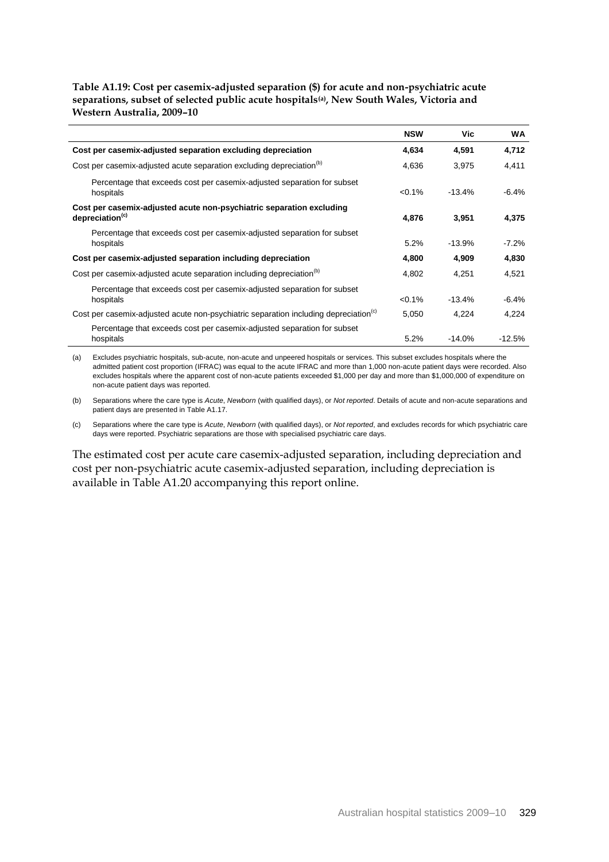#### **Table A1.19: Cost per casemix-adjusted separation (\$) for acute and non-psychiatric acute separations, subset of selected public acute hospitals(a), New South Wales, Victoria and Western Australia, 2009–10**

|                                                                                                     | <b>NSW</b>              | Vic.     | <b>WA</b> |
|-----------------------------------------------------------------------------------------------------|-------------------------|----------|-----------|
| Cost per casemix-adjusted separation excluding depreciation                                         | 4,634<br>4,591          |          | 4,712     |
| Cost per casemix-adjusted acute separation excluding depreciation <sup>(b)</sup>                    |                         | 3,975    | 4,411     |
| Percentage that exceeds cost per casemix-adjusted separation for subset<br>hospitals                | $< 0.1\%$               | $-13.4%$ | $-6.4%$   |
| Cost per casemix-adjusted acute non-psychiatric separation excluding<br>depreciation <sup>(c)</sup> | 4,876<br>3,951          |          | 4,375     |
| Percentage that exceeds cost per casemix-adjusted separation for subset<br>hospitals                | 5.2%                    | $-13.9%$ | -7.2%     |
| Cost per casemix-adjusted separation including depreciation                                         | 4,800<br>4.909<br>4.802 |          | 4,830     |
| Cost per casemix-adjusted acute separation including depreciation <sup>(b)</sup>                    |                         | 4.251    | 4,521     |
| Percentage that exceeds cost per casemix-adjusted separation for subset<br>hospitals                | $< 0.1\%$               | $-13.4%$ | $-6.4\%$  |
| Cost per casemix-adjusted acute non-psychiatric separation including depreciation <sup>(c)</sup>    |                         | 4,224    | 4,224     |
| Percentage that exceeds cost per casemix-adjusted separation for subset<br>hospitals                | 5.2%                    | $-14.0%$ | $-12.5%$  |

(a) Excludes psychiatric hospitals, sub-acute, non-acute and unpeered hospitals or services. This subset excludes hospitals where the admitted patient cost proportion (IFRAC) was equal to the acute IFRAC and more than 1,000 non-acute patient days were recorded. Also excludes hospitals where the apparent cost of non-acute patients exceeded \$1,000 per day and more than \$1,000,000 of expenditure on non-acute patient days was reported.

(b) Separations where the care type is *Acute*, *Newborn* (with qualified days), or *Not reported*. Details of acute and non-acute separations and patient days are presented in Table A1.17.

(c) Separations where the care type is *Acute*, *Newborn* (with qualified days), or *Not reported*, and excludes records for which psychiatric care days were reported. Psychiatric separations are those with specialised psychiatric care days.

The estimated cost per acute care casemix-adjusted separation, including depreciation and cost per non-psychiatric acute casemix-adjusted separation, including depreciation is available in Table A1.20 accompanying this report online.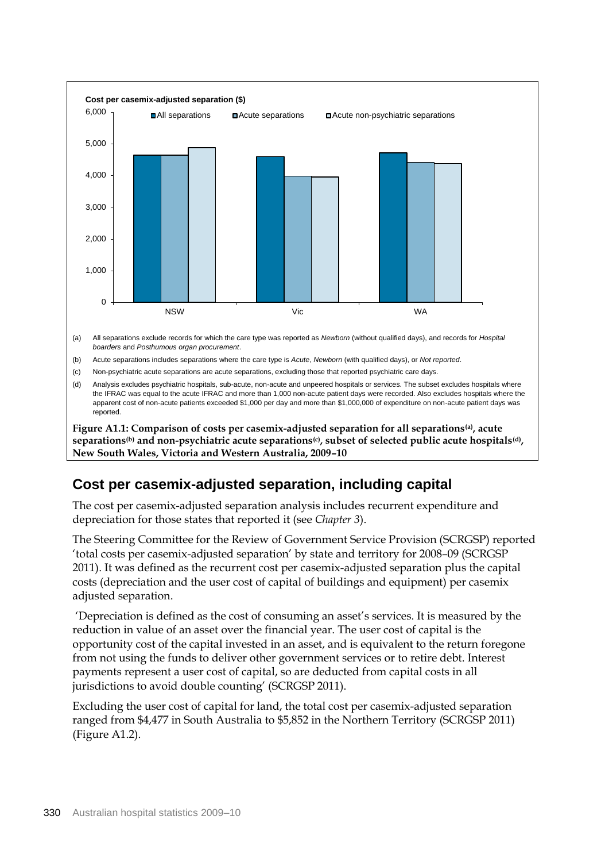

(a) All separations exclude records for which the care type was reported as *Newborn* (without qualified days), and records for *Hospital boarders* and *Posthumous organ procurement*.

(b) Acute separations includes separations where the care type is *Acute*, *Newborn* (with qualified days), or *Not reported*.

(c) Non-psychiatric acute separations are acute separations, excluding those that reported psychiatric care days.

(d) Analysis excludes psychiatric hospitals, sub-acute, non-acute and unpeered hospitals or services. The subset excludes hospitals where the IFRAC was equal to the acute IFRAC and more than 1,000 non-acute patient days were recorded. Also excludes hospitals where the apparent cost of non-acute patients exceeded \$1,000 per day and more than \$1,000,000 of expenditure on non-acute patient days was reported.

**Figure A1.1: Comparison of costs per casemix-adjusted separation for all separations(a), acute separations(b) and non-psychiatric acute separations(c), subset of selected public acute hospitals(d) , New South Wales, Victoria and Western Australia, 2009–10**

# **Cost per casemix-adjusted separation, including capital**

The cost per casemix-adjusted separation analysis includes recurrent expenditure and depreciation for those states that reported it (see *Chapter 3*).

The Steering Committee for the Review of Government Service Provision (SCRGSP) reported 'total costs per casemix-adjusted separation' by state and territory for 2008–09 (SCRGSP 2011). It was defined as the recurrent cost per casemix-adjusted separation plus the capital costs (depreciation and the user cost of capital of buildings and equipment) per casemix adjusted separation.

'Depreciation is defined as the cost of consuming an asset's services. It is measured by the reduction in value of an asset over the financial year. The user cost of capital is the opportunity cost of the capital invested in an asset, and is equivalent to the return foregone from not using the funds to deliver other government services or to retire debt. Interest payments represent a user cost of capital, so are deducted from capital costs in all jurisdictions to avoid double counting' (SCRGSP 2011).

Excluding the user cost of capital for land, the total cost per casemix-adjusted separation ranged from \$4,477 in South Australia to \$5,852 in the Northern Territory (SCRGSP 2011) (Figure A1.2).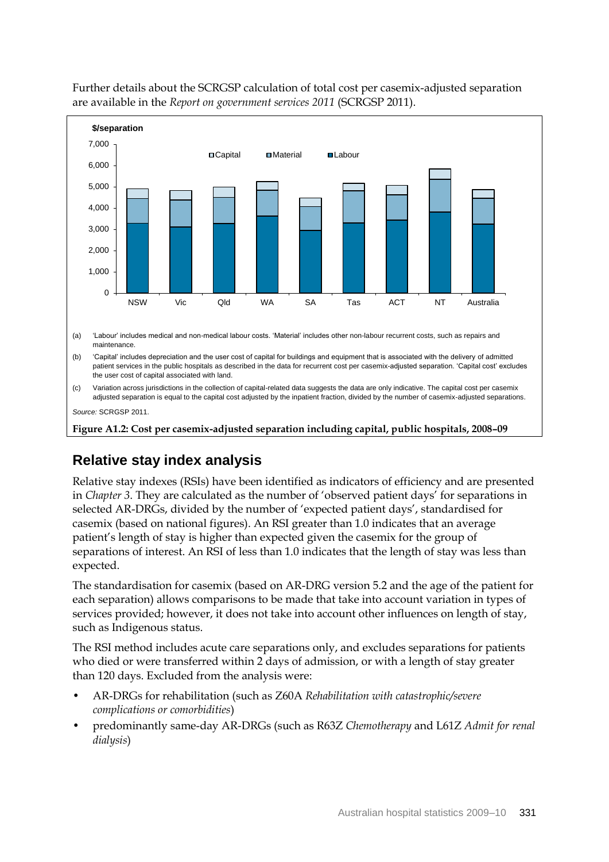

Further details about the SCRGSP calculation of total cost per casemix-adjusted separation are available in the *Report on government services 2011* (SCRGSP 2011).

**Figure A1.2: Cost per casemix-adjusted separation including capital, public hospitals, 2008–09**

# **Relative stay index analysis**

Relative stay indexes (RSIs) have been identified as indicators of efficiency and are presented in *Chapter 3*. They are calculated as the number of 'observed patient days' for separations in selected AR-DRGs, divided by the number of 'expected patient days', standardised for casemix (based on national figures). An RSI greater than 1.0 indicates that an average patient's length of stay is higher than expected given the casemix for the group of separations of interest. An RSI of less than 1.0 indicates that the length of stay was less than expected.

The standardisation for casemix (based on AR-DRG version 5.2 and the age of the patient for each separation) allows comparisons to be made that take into account variation in types of services provided; however, it does not take into account other influences on length of stay, such as Indigenous status.

The RSI method includes acute care separations only, and excludes separations for patients who died or were transferred within 2 days of admission, or with a length of stay greater than 120 days. Excluded from the analysis were:

- AR-DRGs for rehabilitation (such as Z60A *Rehabilitation with catastrophic/severe complications or comorbidities*)
- predominantly same-day AR-DRGs (such as R63Z *Chemotherapy* and L61Z *Admit for renal dialysis*)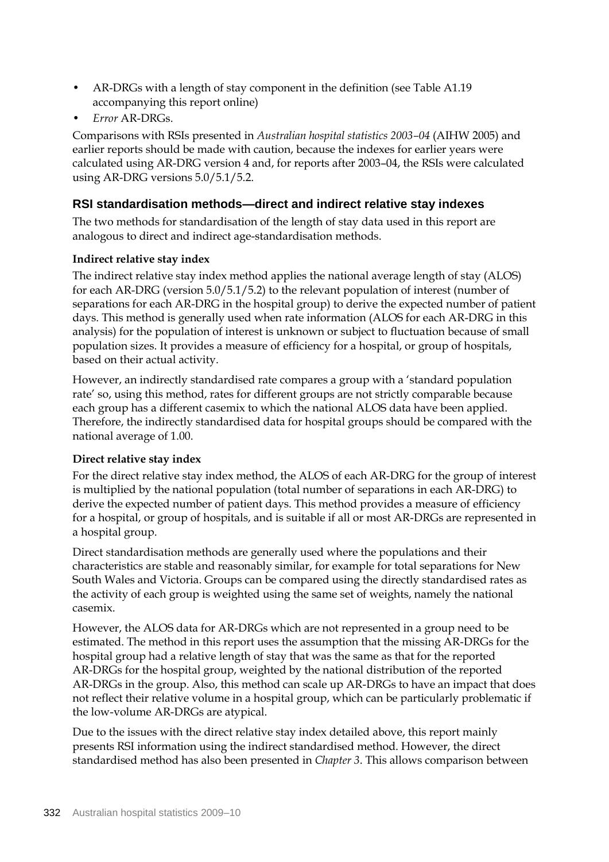- AR-DRGs with a length of stay component in the definition (see Table A1.19 accompanying this report online)
- *Error* AR-DRGs.

Comparisons with RSIs presented in *Australian hospital statistics 2003–04* (AIHW 2005) and earlier reports should be made with caution, because the indexes for earlier years were calculated using AR-DRG version 4 and, for reports after 2003–04, the RSIs were calculated using AR-DRG versions 5.0/5.1/5.2.

## **RSI standardisation methods—direct and indirect relative stay indexes**

The two methods for standardisation of the length of stay data used in this report are analogous to direct and indirect age-standardisation methods.

## **Indirect relative stay index**

The indirect relative stay index method applies the national average length of stay (ALOS) for each AR-DRG (version 5.0/5.1/5.2) to the relevant population of interest (number of separations for each AR-DRG in the hospital group) to derive the expected number of patient days. This method is generally used when rate information (ALOS for each AR-DRG in this analysis) for the population of interest is unknown or subject to fluctuation because of small population sizes. It provides a measure of efficiency for a hospital, or group of hospitals, based on their actual activity.

However, an indirectly standardised rate compares a group with a 'standard population rate' so, using this method, rates for different groups are not strictly comparable because each group has a different casemix to which the national ALOS data have been applied. Therefore, the indirectly standardised data for hospital groups should be compared with the national average of 1.00.

## **Direct relative stay index**

For the direct relative stay index method, the ALOS of each AR-DRG for the group of interest is multiplied by the national population (total number of separations in each AR-DRG) to derive the expected number of patient days. This method provides a measure of efficiency for a hospital, or group of hospitals, and is suitable if all or most AR-DRGs are represented in a hospital group.

Direct standardisation methods are generally used where the populations and their characteristics are stable and reasonably similar, for example for total separations for New South Wales and Victoria. Groups can be compared using the directly standardised rates as the activity of each group is weighted using the same set of weights, namely the national casemix.

However, the ALOS data for AR-DRGs which are not represented in a group need to be estimated. The method in this report uses the assumption that the missing AR-DRGs for the hospital group had a relative length of stay that was the same as that for the reported AR-DRGs for the hospital group, weighted by the national distribution of the reported AR-DRGs in the group. Also, this method can scale up AR-DRGs to have an impact that does not reflect their relative volume in a hospital group, which can be particularly problematic if the low-volume AR-DRGs are atypical.

Due to the issues with the direct relative stay index detailed above, this report mainly presents RSI information using the indirect standardised method. However, the direct standardised method has also been presented in *Chapter 3*. This allows comparison between